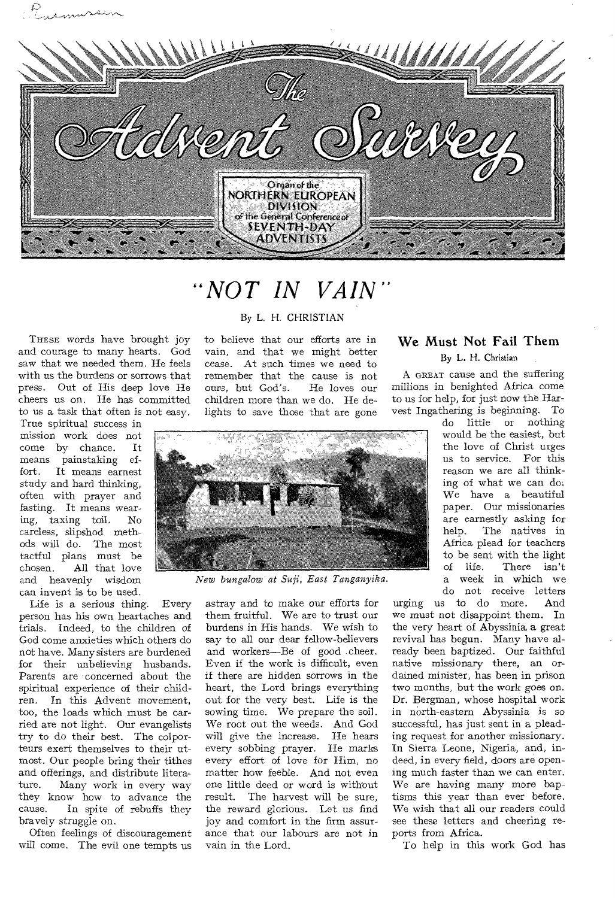

# *"NOT IN VAIN"*

THESE words have brought joy and courage to many hearts. God saw that we needed them. He feels with us the burdens or sorrows that press. Out of His deep love He cheers us on. He has committed to us a task that often is not easy.

True spiritual success in mission work does not come by chance. It means painstaking ef-<br>fort. It means earnest It means earnest study and hard thinking, often with prayer and fasting. It means wearing, taxing toil. No careless, slipshod methods will do. The most tactful plans must be<br>chosen. All that love All that love and heavenly wisdom can invent is to be used.

Life is a serious thing. Every person has his own heartaches and trials. Indeed, to the children of God come anxieties which others do not have. Many sisters are burdened for their unbelieving husbands. Parents are concerned about the spiritual experience of their children. In this Advent movement, too, the loads which must be carried are not light. Our evangelists try to do their best. The colporteurs exert themselves to their utmost. Our people bring their tithes and offerings, and distribute litera-<br>ture. Many work in every way Many work in every way they know how to advance the cause. In spite of rebuffs they bravely struggle on.

Often feelings of discouragement will come. The evil one tempts us

#### By L. H. CHRISTIAN

to believe that our efforts are in vain, and that we might better cease. At such times we need to remember that the cause is not ours, but God's. He loves our children more than we do. He delights to save those that are gone



*New bungalow at Suji, East Tanganyika.* 

astray and to make our efforts for them fruitful. We are to trust our burdens in His hands. We wish to say to all our dear fellow-believers and workers—Be of good cheer. Even if the work is difficult, even if there are hidden sorrows in the heart, the Lord brings everything out for the very best. Life is the sowing time. We prepare the soil. We root out the weeds. And God will give the increase. He hears every sobbing prayer. He marks every effort of love for Him, no matter how feeble. And not even one little deed or word is without result. The harvest will be sure, the reward glorious. Let us find joy and comfort in the firm assurance that our labours are not in vain in the Lord,

# We Must Not Fail Them

By L. H. Christian

A GREAT cause and the suffering millions in benighted Africa come to us for help, for just now the Harvest Ingathering is beginning. To

> do little or nothing would be the easiest, but the love of Christ urges us to service. For this reason we are all thinking of what we can do. We have a beautiful paper. Our missionaries are earnestly asking for help. The natives in Africa plead for teachers to be sent with the light of life. There isn't a week in which we do not receive letters

urging us to do more. And we must not disappoint them. In the very heart of Abyssinia a great revival has begun. Many have already been baptized. Our faithful native missionary there, an ordained minister, has been in prison two months, but the work goes on. Dr. Bergman, whose hospital work in north-eastern Abyssinia is so successful, has just sent in a pleading request for another missionary. In Sierra Leone, Nigeria, and, indeed, in every field, doors are opening much faster than we can enter. We are having many more baptisms this year than ever before. We wish that all our readers could see these letters and cheering reports from Africa.

To help in this work God has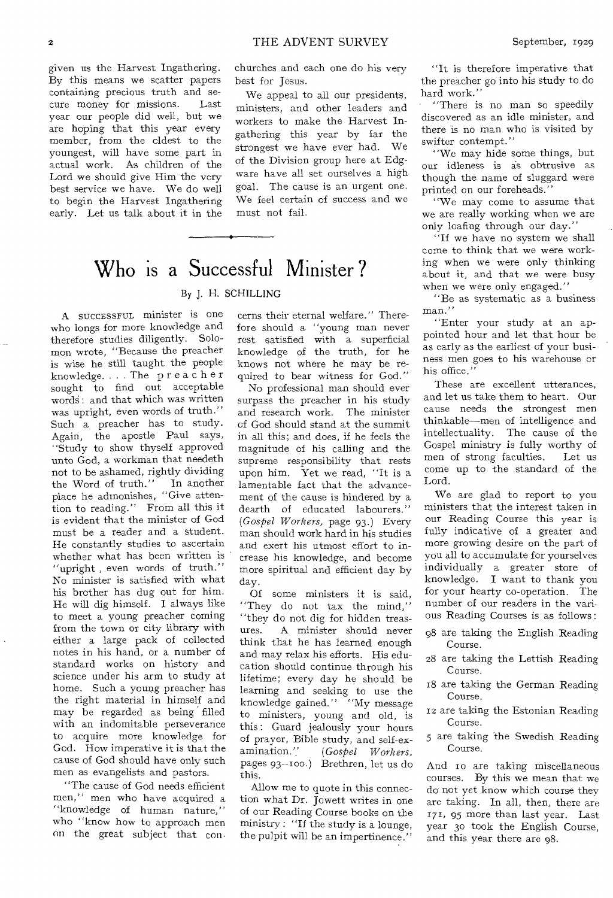given us the Harvest Ingathering. By this means we scatter papers containing precious truth and secure money for missions. Last year our people did well, but we are hoping that this year every member, from the oldest to the youngest, will have some part in actual work. As children of the Lord we should give Him the very best service we have. We do well to begin the Harvest Ingathering early. Let us talk about it in the

churches and each one do his very best for Jesus.

We appeal to all our presidents, ministers, and other leaders and workers to make the Harvest Ingathering this year by far the strongest we have ever had. We of the Division group here at Edgware have all set ourselves a high goal. The cause is an urgent one. We feel certain of success and we must not fail.

# Who is a Successful Minister ?

#### By J. H. SCHILLING

A SUCCESSFUL minister is one who longs for more knowledge and therefore studies diligently. Solomon wrote, "Because the preacher is wise he still taught the people knowledge. . . . The preacher sought to find out acceptable words: and that which was written was upright, even words of truth." Such a preacher has to study. Again, the apostle Paul says, "Study to show thyself approved unto God, a workman that needeth not to be ashamed, rightly dividing<br>the Word of truth." In another the Word of truth." place he admonishes, "Give attention to reading." From all this it is evident that the minister of God must be a reader and a student. He constantly studies to ascertain whether what has been written is "upright , even words of truth." No minister is satisfied with what his brother has dug out for him. He will dig himself. I always like to meet a young preacher coming from the town or city library with either a large pack of collected notes in his hand, or a number of standard works on history and science under his arm to study at home. Such a young preacher has the right material in himself and may be regarded as being filled with an indomitable perseverance to acquire more knowledge for God. How imperative it is that the cause of God should have only such men as evangelists and pastors.

"The cause of God needs efficient men," men who have acquired a "knowledge of human nature," who "know how to approach men on the great subject that con-

cerns their eternal welfare." Therefore should a "young man never rest satisfied with a superficial knowledge of the truth, for he knows not where he may be required to bear witness for God."

No professional man should ever surpass the preacher in his study and research work. The minister of God should stand at the summit in all this; and does, if he feels the magnitude of his calling and the supreme responsibility that rests upon him. Yet we read, "It is a lamentable fact that the advancement of the cause is hindered by a dearth of educated labourers." *(Gospel Workers,* page 93.) Every man should work hard in his studies and exert his utmost effort to increase his knowledge, and become more spiritual and efficient day by day.

Of some ministers it is said, "They do not tax the mind," "they do not dig for hidden treasures. A minister should never think that he has learned enough and may relax his efforts. His education should continue through his lifetime; every day he should be learning and seeking to use the knowledge gained." "My message to ministers, young and old, is this : Guard jealously your hours of prayer, Bible study, and self-ex-<br>amination." (Gospel Workers, amination." *(Gospel Workers,*  pages 93--Too.) Brethren, let us do this.

Allow me to quote in this connection what Dr. Jowett writes in one of our Reading Course books on the ministry : "If the study is a lounge, the pulpit will be an impertinence."

"It is therefore imperative that the preacher go into his study to do hard work."

"There is no man so speedily discovered as an idle minister, and there is no man who is visited by swifter contempt."

"We may hide some things, but our idleness is as obtrusive as though the name of sluggard were printed on our foreheads."

"We may come to assume that we are really working when we are only loafing through our day."

"If we have no system we shall come to think that we were working when we were only thinking about it, and that we were busy when we were only engaged."

"Be as systematic as a business man."

"Enter your study at an appointed hour and let that hour be as early as the earliest cf your business men goes to his warehouse or his office.'

These are excellent utterances, and let us take them to heart. Our cause needs the strongest men thinkable—men of intelligence and intellectuality. The cause of the Gospel ministry is fully worthy of men of strong faculties. Let us come up to the standard of the Lord.

We are glad to report to you ministers that the interest taken in our Reading Course this year is fully indicative of a greater and more growing desire on the part of you all to accumulate for yourselves individually a greater store of knowledge. I want to thank you for your hearty co-operation. The number of our readers in the various Reading Courses is as follows :

- 98 are taking the English Reading Course.
- 28 are taking the Lettish Reading Course.
- 18 are taking the German Reading Course.
- 12 are taking the Estonian Reading Course.
- 5 are taking the Swedish Reading Course.

And ro are taking miscellaneous courses. By this we mean that we do not yet know which course they are taking. In all, then, there are 171, 95 more than last year. Last year 3o took the English Course, and this year there are 98.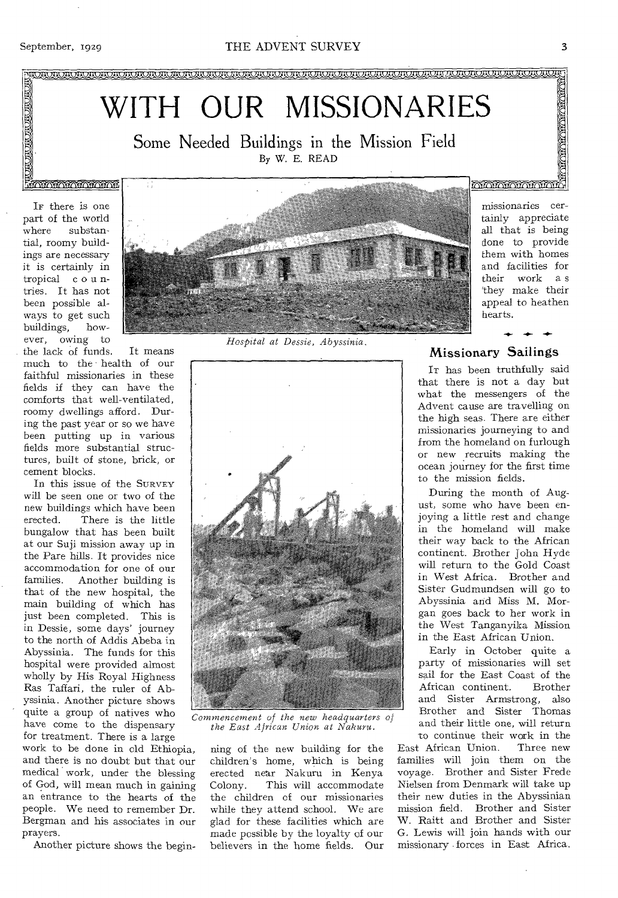**ANDINATION CONCERNATION** 

VII VII VII VII VII VII VKI VAI VAI VAI VAI VAI V

# WITH OUR MISSIONARIES

Some Needed Buildings in the Mission Field By W. E. READ

## <u>Francisco a cint</u>

IF there is one part of the world where substantial, roomy buildings are necessary it is certainly in tropical c o u ntries. It has not been possible always to get such buildings, however, owing to

the lack of funds. It means much to the health of our faithful missionaries in these fields if they can have the comforts that well-ventilated, roomy dwellings afford. During the past year or so we have been putting up in various fields more substantial structures, built of stone, brick, or cement blocks.

In this issue of the SURVEY will be seen one or two of the new buildings which have been<br>erected. There is the little There is the little bungalow that has been built at our Suji mission away up in the Pare hills. It provides nice accommodation for one of our families. Another building is that of the new hospital, the main building of which has just been completed. This is in Dessie, some days' journey to the north of Addis Abeba in Abyssinia. The funds for this hospital were provided almost wholly by His Royal Highness Ras Taffari, the ruler of Abyssinia. Another picture shows quite a group of natives who have come to the dispensary for treatment. There is a large

work to be done in old Ethiopia, and there is no doubt but that our medical work, under the blessing of God, will mean much in gaining an entrance to the hearts of the people. We need to remember Dr. Bergman and his associates in our prayers.

Another picture shows the begin-

*Hospital at Dessie, Abyssinia.* 



*Commencement of the new headquarters of the East African Union at Nakuru.* 

ning of the new building for the children's home, which is being erected near Nakuru in Kenya This will accommodate the children of our missionaries while they attend school. We are glad for these facilities which are made possible by the loyalty of our believers in the home fields. Our **MATAMATAN** 

missionaries certainly appreciate all that is being done to provide them with homes and facilities for their work a s 'they make their appeal to heathen hearts.

**-41.-** 

#### Missionary Sailings

IT has been truthfully said that there is not a day but what the messengers of the Advent cause are travelling on the high seas. There are either missionaries journeying to and from the homeland on furlough or new .recruits making the ocean journey for the first time to the mission fields.

During the month of August, some who have been enjoying a little rest and change in the homeland will make their way back to the African continent. Brother John Hyde will return to the Gold Coast in West Africa. Brother and Sister Gudmundsen will go to Abyssinia and Miss M. Morgan goes back to her work in the West Tanganyika Mission in the East African Union.

Early in October quite a party of missionaries will set sail for the East Coast of the<br>African continent. Brother African continent. and Sister Armstrong, also Brother and Sister Thomas and their little one, will return

to continue their work in the<br>African Union. Three new East African Union. families will join them on the voyage. Brother and Sister Frede Nielsen from Denmark will take up their new duties in the Abyssinian mission field. Brother and Sister W. Raitt and Brother and Sister G. Lewis will join hands with our missionary forces in East Africa.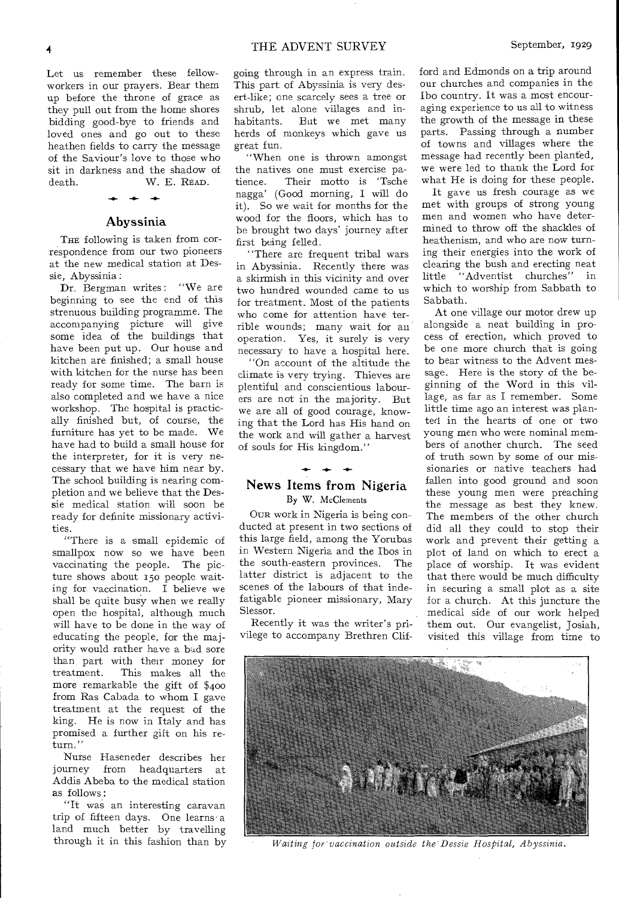Let us remember these fellowworkers in our prayers. Bear them up before the throne of grace as they pull out from the home shores bidding good-bye to friends and loved ones and go out to these heathen fields to carry the message of the Saviour's love to those who sit in darkness and the shadow of death. W. E. READ.

#### Abyssinia

*-41.-* 

THE following is taken from correspondence from our two pioneers at the new medical station at Dessie, Abyssinia :

Dr. Bergman writes: "We are beginning to see the end of this strenuous building programme. The accompanying picture will give some idea of the buildings that have been put up. Our house and kitchen are finished; a small house with kitchen for the nurse has been ready for some time. The barn is also completed and we have a nice workshop. The hospital is practically finished but, of course, the furniture has yet to be made. We have had to build a small house for the interpreter, for it is very necessary that we have him near by. The school building is nearing completion and we believe that the Dessie medical station will soon be ready for definite missionary activities.

"There is a small epidemic of smallpox now so we have been vaccinating the people. The picture shows about 15o people waiting for vaccination. I believe we shall be quite busy when we really open the hospital, although much will have to be done in the way of educating the people, for the majority would rather have a bad sore than part with their money for<br>treatment. This makes all the This makes all the more remarkable the gift of \$400 from Ras Cabada to whom I gave treatment at the request of the king. He is now in Italy and has promised a further gift on his return."

Nurse Haseneder describes her journey from headquarters at Addis Abeba to the medical station as follows :

"It was an interesting caravan trip of fifteen days. One learns' a land much better by travelling through it in this fashion than by

going through in an express train. This part of Abyssinia is very desert-like; one scarcely sees a tree or shrub, let alone villages and inhabitants. But we met many herds of monkeys which gave us great fun.

"When one is thrown amongst the natives one must exercise patience. Their motto is 'Tsche nagga' (Good morning, I will do it). So we wait for months for the wood for the floors, which has to be brought two days' journey after first being felled.

"There arc frequent tribal wars in Abyssinia. Recently there was a skirmish in this vicinity and over two hundred wounded came to us for treatment. Most of the patients who come for attention have terrible wounds; many wait for an operation. Yes, it surely is very necessary to have a hospital here.

"On account of the altitude the climate is very trying. Thieves are plentiful and conscientious labourers are not in the majority. But we are all of good courage, knowing that the Lord has His hand on the work and will gather a harvest of souls for His kingdom."

#### News Items from Nigeria By W. McClements

OUR work in Nigeria is being conducted at present in two sections of this large field, among the Yorubas in Western Nigeria and the Ibos in the south-eastern provinces. The latter district is adjacent to the scenes of the labours of that indefatigable pioneer missionary, Mary Slessor.

Recently it was the writer's privilege to accompany Brethren Clif-

ford and Edmonds on a trip around our churches and companies in the Ibo country. It was a most encouraging experience to us all to witness the growth of the message in these parts. Passing through a number of towns and villages where the message had recently been planted, we were led to thank the Lord for what He is doing for these people.

It gave us fresh courage as we met with groups of strong young men and women who have determined to throw off the shackles of heathenism, and who are now turning their energies into the work of clearing the bush and erecting neat little "Adventist churches" in which to worship from Sabbath to Sabbath.

At one village our motor drew up alongside a neat building in process of erection, which proved to be one more church that is going to bear witness to the Advent message. Here is the story of the beginning of the Word in this village, as far as I remember. Some little time ago an interest was planted in the hearts of one or two young men who were nominal members of another church. The seed of truth sown by some of our missionaries or native teachers had fallen into good ground and soon these young men were preaching the message as best they knew. The members of the other church did all they could to stop their work and prevent their getting a plot of land on which to erect a place of worship. It was evident that there would be much difficulty in securing a small plot as a site for a church. At this juncture the medical side of our work helped them out. Our evangelist, Josiah, visited this village from time to



*Waiting for vaccination outside the Dessie Hospital, Abyssinia.*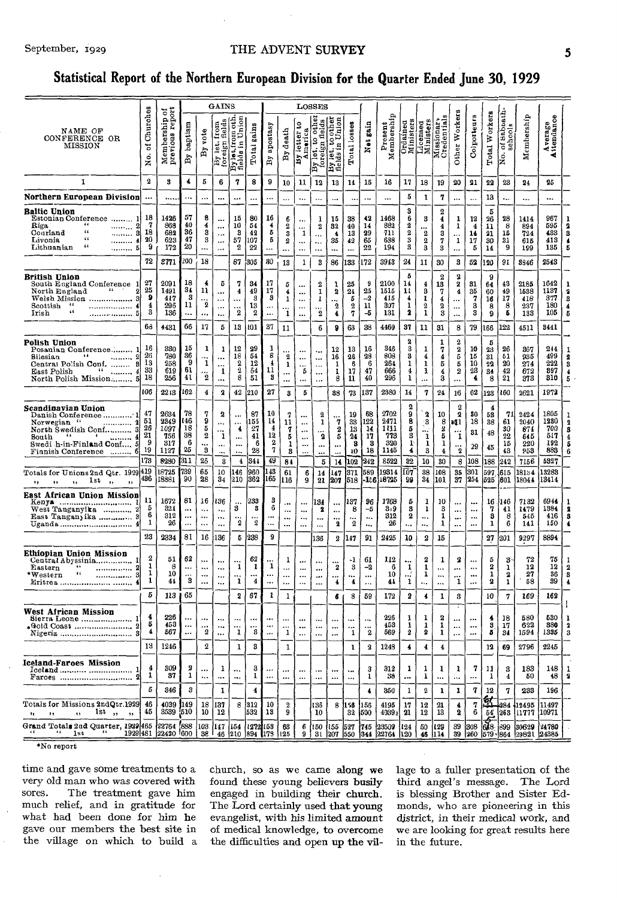#### September, 1929

#### THE ADVENT SURVEY

#### Statistical Report of the Northern European Division for the Quarter Ended June 30, 1929

|                                                                                                                                                                                                  |                                        |                                            |                                                |                                           | GAINS                                                 |                                                                    |                                         |                                              |                                           |                                                                | LOSSES                                                 |                                                  |                                                         |                                   |                                           |                                                    |                                             |                                                    |                                                                                                       |                                                  |                                   |                                  |                                          |                                          |                                                        |
|--------------------------------------------------------------------------------------------------------------------------------------------------------------------------------------------------|----------------------------------------|--------------------------------------------|------------------------------------------------|-------------------------------------------|-------------------------------------------------------|--------------------------------------------------------------------|-----------------------------------------|----------------------------------------------|-------------------------------------------|----------------------------------------------------------------|--------------------------------------------------------|--------------------------------------------------|---------------------------------------------------------|-----------------------------------|-------------------------------------------|----------------------------------------------------|---------------------------------------------|----------------------------------------------------|-------------------------------------------------------------------------------------------------------|--------------------------------------------------|-----------------------------------|----------------------------------|------------------------------------------|------------------------------------------|--------------------------------------------------------|
| NAME OF<br>CONFERENCE OR<br>MISSION                                                                                                                                                              | Churches<br>ㅎ<br>$\frac{1}{2}$         | Membership of<br>previous report           | baptism<br>$\overline{\mathbf{B}}$             | vote<br>$\mathbf{B}$                      | fields<br>By let. f<br>foreign !                      | Union<br>Bylet,from oth<br>fields in Union                         | Total gains                             | apostasy<br>$\mathbf{B}\mathbf{y}$           | death<br>Å                                | ទ្ធ<br>By letter to<br>America                                 | other<br>elds<br> ဒါ<br>By let. to<br>foreign 1        | By let. to other<br>fields in Union              | Total losses                                            | Net gain                          | Present<br>Membership                     | Ordained<br>Ministers                              |                                             | Licensed<br>Ministers<br>Missionary<br>Credentials | Other Workers                                                                                         | Colporteurs                                      | Total Workers                     | of Sabbath.<br>schools<br>ko.    | Membership                               | Average<br>Attendance                    |                                                        |
| 1                                                                                                                                                                                                | $\boldsymbol{2}$                       | 3                                          | 4                                              | 5                                         | 6                                                     | 7                                                                  | 8                                       | 9                                            | 10                                        | 11                                                             | 12                                                     | 13                                               | 14                                                      | 15                                | 16                                        | 17                                                 | 18                                          | 19                                                 | 20                                                                                                    | 21                                               | 22                                | 23                               | 24                                       | 25                                       |                                                        |
| Northern European Division                                                                                                                                                                       | $\ddotsc$                              |                                            | $\ddotsc$                                      | $\ddotsc$                                 |                                                       |                                                                    |                                         | $\ddot{\phantom{a}}$                         |                                           |                                                                | $\ddotsc$                                              | $\ddotsc$                                        |                                                         |                                   |                                           | 5                                                  | 1                                           | 7                                                  |                                                                                                       |                                                  | 13                                | ٠.,                              |                                          |                                          |                                                        |
| Baltic Union<br>Estonian Conference<br>1<br>Riga<br>"<br>$\overline{2}$<br>.<br>$\mathfrak{c}\mathfrak{c}$<br>Conrland<br>8<br>$\leq$ $\leq$<br>Livonia<br>. 4.<br>$\epsilon$<br>5<br>Lithuanian | 18<br>7<br>18<br>20<br>9               | 1426<br>868<br>682<br>623<br>172           | 57<br>40<br>36<br>47<br>20                     | 8<br>4<br>3<br>3<br>$\cdots$              | <br>$\ddotsc$<br><br>                                 | 15<br>10<br>з<br>57<br>2                                           | 80<br>54<br>42<br>107<br>22             | 16<br>4<br>5<br>5<br>$\ddotsc$               | 6<br>$\overline{\mathbf{2}}$<br>3<br>2    | <br>1<br><br>                                                  | 1<br>2<br>$\ddotsc$<br><br>$\ddotsc$                   | 15<br>32<br>$\ddot{\bullet}$<br>35<br>           | 38<br>40<br>13<br>42<br>$\ddotsc$                       | 42<br>14<br>29<br>65<br>22        | 1468<br>882<br>711<br>638<br>194          | 3<br>6<br>2<br>$\boldsymbol{2}$<br>3<br>3          | 3<br>$\boldsymbol{2}$<br>$\mathbf{2}$<br>3  | $\boldsymbol{2}$<br>4<br>4<br>3<br>7<br>3          | 1<br>1<br>1                                                                                           | 12<br>$\overline{4}$<br>14<br>17<br>5            | 5<br>26<br>11<br>21<br>30<br>14   | 28<br>8<br>15<br>31<br>9         | 1414<br>894<br>724<br>615<br>199         | 967<br>595<br>433<br>413<br>135          | 2<br>3<br>4<br>Б                                       |
|                                                                                                                                                                                                  | 72                                     | 2771                                       | 200                                            | 18                                        |                                                       | 87                                                                 | 305                                     | 80                                           | 13                                        | 1                                                              | 3                                                      | 86                                               | 133                                                     | 172                               | 3943                                      | 24                                                 | 11                                          | 30                                                 | 3                                                                                                     | 52                                               | 120                               | 91                               | 8846                                     | 2543                                     |                                                        |
| British Union<br>South England Conference 1<br>$\blacksquare$<br>2<br>North England<br>Welsh Mission<br>3<br>Scottish<br>66<br>4<br>.<br>66<br>Irish<br>5                                        | 27<br>25<br>9<br>4<br>3                | 2091<br>1491<br>417<br>296<br>136          | 18<br>31<br>-3<br>11<br>                       | 4<br>11<br>$\ddotsc$<br>2                 | Б<br><br>$\cdots$<br><br>                             | 7<br>4<br>$\boldsymbol{2}$                                         | 34<br>49<br>з<br>13<br>$\boldsymbol{2}$ | 17<br>17<br>9<br>$\ddotsc$                   | 5<br>4<br>1<br>$\cdots$<br>1              | <br><br>$\ddotsc$<br>$\ddotsc$<br>$\ddotsc$                    | 2<br>1<br>1<br><br>$\overline{\mathbf{2}}$             | 1<br>$\boldsymbol{2}$<br><br>$\overline{2}$<br>4 | 25<br>$2\pm$<br>5<br>$\boldsymbol{2}$<br>$\overline{7}$ | 9<br>25<br>$-2$<br>11<br>-5       | 2100<br>1515<br>415<br>307<br>131         | 5<br>14<br>11<br>$\overline{\mathbf{4}}$<br>1<br>2 | 4<br>3<br>1<br>$\mathbf{2}$<br>1            | $\boldsymbol{2}$<br>13<br>7<br>4<br>2<br>3         | $\bf 2$<br>$\pmb{2}$<br>$\boldsymbol{4}$<br><br>$\ddotsc$<br>$\ddotsc$                                | 31<br>35<br>7<br>3<br>3                          | 9<br>64<br>60<br>16<br>8<br>9     | 43<br>49<br>17<br>8<br>5         | 2185<br>1538<br>418<br>237<br>133        | 1642<br>1137<br>377<br>180<br>105        | 2<br>3<br>4<br>5                                       |
|                                                                                                                                                                                                  | 63                                     | 4431                                       | 66                                             | 17                                        | 5                                                     | 13                                                                 | 101                                     | 37                                           | 11                                        |                                                                | 6                                                      | 8                                                | 63                                                      | 38                                | 4469                                      | 37                                                 | 11                                          | 31                                                 | 8                                                                                                     | 79                                               | 166                               | 122                              | 4511                                     | 3441                                     |                                                        |
| Polish Union<br>Posanian Conference<br>$\bullet$ $\bullet$<br>Bilesian<br><br>Central Polish Conf.  8<br>66<br>$\ldots \ldots \ldots 4$<br>East Polish<br>North Polish Mission 5                 | 16<br>26<br>13<br>33<br>18             | 330<br>780<br>258<br>619<br>256            | 15<br>36<br>-9<br>61<br>41                     | 1<br>1<br>$\boldsymbol{2}$                | ı<br><br><br>$\mathbf 1$<br>                          | 12<br>18<br>$\frac{2}{2}$<br>8                                     | 29<br>54<br>12<br>64<br>51              | 1<br>8<br>$\overline{\mathbf{1}}$<br>11<br>8 | $\overline{2}$<br>ı<br><br>               | <br>$\cdots$<br><br>5<br>$\ddotsc$                             | ٠.,<br>$\ddotsc$<br>$\ddotsc$<br>$\ldots$<br>$\ddotsc$ | 12<br>16<br>1<br>1<br>8                          | 13<br>26<br>6<br>17<br>11                               | 16<br>28<br>6<br>47<br>40         | 346<br>808<br>264<br>666<br>296           | $\boldsymbol{2}$<br>3<br>3<br>ı<br>4<br>1          | 1<br>4<br>1<br>1<br>                        | 1<br>7<br>4<br>5<br>4<br>3                         | 2<br>$\frac{2}{5}$<br>5<br>$\mathbf 2$<br>                                                            | 10<br>15<br>10<br>23<br>4                        | Б<br>23<br>31<br>22<br>34<br>8    | 26<br>51<br>20<br>42<br>$^{21}$  | 367<br>935<br>274<br>672<br>373          | 244<br>499<br>222<br>897<br>810          | 2<br>3<br>4<br>5                                       |
|                                                                                                                                                                                                  | 106                                    | 2213                                       | 162                                            | 4                                         | 2                                                     | 42                                                                 | 210                                     | 27                                           | 8                                         | 5                                                              |                                                        | 38                                               | 73                                                      | 137                               | 2380                                      | 14                                                 | 7                                           | 24                                                 | 16                                                                                                    | 62                                               | 123                               | 160                              | 2621                                     | 1972                                     |                                                        |
| Scandinavian Union<br>4<br>Bouth<br>Swedi h-in-Finland Conf 5<br>Finnish Conference  6                                                                                                           | 47<br>51<br>26<br>21<br>- 9<br>19      | 2634<br>2349<br>1097<br>756<br>317<br>1127 | 78<br>l 46<br>18<br>38<br>- 6<br>25            | 7<br>9<br>5<br>$\boldsymbol{2}$<br>3      | 2<br>$\cdots$<br>$\dddot{i}$<br>$\ldots$<br>$\ddotsc$ | $\ddotsc$<br>$\ddotsc$<br>4<br>$\ddotsc$<br>$\ddotsc$<br>$\ddotsc$ | 87<br>155<br>27<br>41<br>6<br>28        | 10<br>14<br>$\overline{4}$<br>12<br>2<br>7   | 7<br>11<br>7<br>5<br>1<br>3               | <br>$\cdots$<br>$\ddotsc$<br>$\cdots$<br>$\cdots$<br>$\ddotsc$ | 2<br>ı<br>$\overline{\mathbf{2}}$<br><br>              | $\dddot{7}$<br>$\boldsymbol{2}$<br>5<br>         | 19<br>33<br>13<br>24<br>8<br>10                         | 68<br>122<br>14<br>17<br>-3<br>18 | 2702<br>2471<br>181<br>773<br>320<br>1145 | 2<br>9<br>8<br>5<br>3<br>$1^{\circ}$<br>4          | 3<br>$\cdot$ 3<br><br>1<br>$\mathbf 1$<br>3 | 10<br>8<br>2<br>5<br>1<br>$\overline{\mathbf{4}}$  | $\boldsymbol{2}$<br>$\overline{\mathbf{2}}$<br>a@1<br>$\dddot{\mathbf{i}}$<br>$\dddot{\phantom{2}}_2$ | 80<br>18<br>31<br>29                             | 4<br>53<br>38<br>48<br>43         | 71<br>61<br>30<br>22<br>15<br>43 | 2424<br>2040<br>871<br>645<br>220<br>953 | 1805<br>1230<br>700<br>517<br>192<br>883 | $\boldsymbol{2}$<br>3<br>4<br>5<br>6                   |
|                                                                                                                                                                                                  | 173                                    | 8280                                       | 311                                            | 26                                        | 3                                                     | $\overline{\mathbf{4}}$                                            | 344                                     | 49                                           | 84                                        |                                                                | 5                                                      | 14                                               | 102                                                     | 242                               | 8522                                      | 32                                                 | ${\bf 10}$                                  | 30                                                 | 8                                                                                                     | $^{108}$                                         | 188                               | 242                              | 7156                                     | 5327                                     |                                                        |
| Totals for Unions 2nd Qtr. 1929 419<br>1st<br>٠,<br>$, \, , \,$<br>,,<br>$, \,$<br>,,                                                                                                            | 436                                    | 18725<br>18881                             | 739<br>90                                      | 65<br>28                                  | 10<br>34                                              | 146<br>210                                                         | 960<br>362                              | L43<br>165                                   | 61<br>116                                 | 6<br>9                                                         | 14<br>21                                               | 147<br>207                                       | 371<br>518                                              | 589<br>-1:6                       | 19314<br>18725                            | IÕ7<br>99                                          | 38<br>34                                    | 108<br>101                                         | 35<br>37                                                                                              | 301<br>254                                       | 597<br>525                        | 615<br> 601                      | 18154<br>18044                           | 13283<br>13414                           |                                                        |
| East African Union Mission<br>West Tanganyika  2<br>East Tanganyika  3                                                                                                                           | 11<br>5<br>6<br>1<br>23                | 1672<br>324<br>312<br>26                   | 81<br>$\ddotsc$<br>$\cdots$<br>$\ddotsc$<br>81 | 16<br>$\ddotsc$<br>$\ddotsc$<br>$\ddotsc$ | 136<br>٠.,<br><br>$\ddotsc$                           | $\ddotsc$<br>3<br>$\overline{2}$                                   | 233<br>3<br><br>$\boldsymbol{2}$        | 3<br>6<br><br><br>9                          | $\ddot{\phantom{0}}$<br><br><br>$\ddotsc$ | $\ddotsc$<br><br><br>                                          | 134<br>2<br>$\ddotsc$<br>                              | <br><br><br>2                                    | 137<br>8<br>2                                           | 96<br>-5<br>٠.,<br>               | 1768<br>3.9<br>312<br>26                  | 5<br>8<br>2<br>$\ddotsc$                           | 1<br>1<br><br>                              | 10<br>3<br>1<br>1                                  | <br>$\cdots$<br><br>                                                                                  | $\ddotsc$<br>$\ddotsc$<br>$\ddotsc$<br>$\ddotsc$ | 7<br>8<br>1                       | 16 1146<br>41<br>8<br>6          | 7132<br>1479<br>545<br>141               | 6944<br>1384<br>416<br>150               | 1<br>2<br>3<br>4                                       |
|                                                                                                                                                                                                  |                                        | 2334                                       |                                                | 16                                        | 136                                                   | ¢                                                                  | 238                                     |                                              |                                           |                                                                | 136                                                    | 2                                                | 1147                                                    | 91                                | 2425                                      | 10                                                 | 2                                           | 15                                                 |                                                                                                       |                                                  | 27                                | 201                              | 9297                                     | 8894                                     |                                                        |
| Ethiopian Union Mission<br>Central Abyssinia<br>Eastern<br>$\bullet\bullet$<br><br>46<br>$\boldsymbol{*}$ Western<br>-31<br>                                                                     | $\mathbf{2}$<br>1<br>1<br>$\mathbf{1}$ | 51<br>8<br>10<br>44                        | 62<br><br>$\ddotsc$<br>3                       | $\ddotsc$<br>$\ddotsc$<br>$\ddotsc$<br>   | $\cdots$<br><br><br>٠.,                               | 1<br>1                                                             | 62<br>1<br><br>4                        | 1<br><br>$\ddotsc$                           | 1<br>.<br><br>                            | <br><br><br>$\cdots$                                           | $\cdots$<br>$\cdots$<br><br>                           | <br>2<br><br>4                                   | -1<br>3<br>4                                            | 61<br>-2<br>$\cdots$<br>          | 112<br>6<br>10<br>44                      | ٠.,<br>1<br><br>1                                  | 2<br>1<br>1<br>٠.,                          | 1<br><br><br>                                      | 2<br><br>$\mathbf 1$                                                                                  | $\ddotsc$<br>$\cdots$<br><br>$\ddotsc$           | 5<br>2<br>1<br>2                  | 3<br>ı<br>2<br>1                 | 72<br>12<br>27<br>58                     | 75<br>12<br>36<br>39                     | -1<br>$\boldsymbol{2}$<br>3<br>$\overline{\mathbf{4}}$ |
|                                                                                                                                                                                                  | 5                                      | 113                                        | 65                                             |                                           |                                                       | 2                                                                  | 67                                      | 1                                            | 1                                         |                                                                |                                                        | 6                                                | 8                                                       | 59                                | 172                                       | 2                                                  | 4                                           | 1                                                  | 3                                                                                                     |                                                  | 10                                | 7                                | 169                                      | 162                                      |                                                        |
| West African Mission<br>Sierra Leone<br>1<br>$\boldsymbol{2}$<br>"Gold Coast<br>NISCHS                                                                                                           | 4<br>5<br>4                            | 226<br>453<br>567                          | $\ddotsc$<br>                                  | <br>$\ddotsc$<br>o                        | <br>$\cdots$                                          | $\ddotsc$<br>                                                      | $\ddotsc$<br>$\ddotsc$<br>з             | $\ddotsc$<br>$\ddotsc$                       | <br>$\ddotsc$                             | $\ddotsc$<br><br>$\cdots$                                      | $\cdots$<br>$\cdots$<br>                               | $\cdots$<br>$\ddotsc$<br>                        | <br>                                                    | $\cdots$<br><br>o                 | 226<br>458<br>569                         | 1<br>1<br>$\boldsymbol{2}$                         | 1<br>$\mathbf{I}$<br>2                      | 2<br>1<br>ı                                        | <br>$\cdots$                                                                                          | $\ddot{\phantom{0}}$<br>$\cdots$                 | 4<br>8<br>Б                       | 18<br>17<br>34                   | 580<br>622<br>1594                       | 530<br>380<br>335                        | ı<br>2                                                 |
|                                                                                                                                                                                                  | 13                                     | 1246                                       |                                                | $\mathbf 2$                               |                                                       | $\mathbf{1}$                                                       | 3                                       |                                              | 1                                         |                                                                |                                                        |                                                  | 1                                                       | 2                                 | 1248                                      | 4                                                  | $\blacktriangleleft$                        | 4                                                  |                                                                                                       |                                                  | 12                                | 69                               | 2796                                     | 2245                                     |                                                        |
| Iceland-Faroes Mission<br>$Faroes … … … … … … … … … … … … … … … … … … … … … … … … … …$                                                                                                           | 4<br>1                                 | 309<br>37                                  | 2<br>1                                         | $\cdots$<br>$\ddotsc$                     | 1<br>                                                 | <br>$\ddotsc$                                                      | з<br>1                                  |                                              | $\cdots$<br>$\cdots$                      | $\cdots$<br>$\cdots$                                           | $\cdots$<br>$\cdots$                                   | $\cdots$<br>$\cdots$                             | $\ddotsc$<br>$\cdots$                                   | 3<br>1                            | 312<br>-38                                | $\mathbf{1}$<br>$\cdots$                           | $\mathbf{1}$<br>1                           | 1<br>                                              | 1<br>$\cdots$                                                                                         | 7                                                | -11<br>$\mathbf{I}$               | 3<br>$\overline{4}$              | 183<br>50                                | 148<br>48                                | -1<br>$\boldsymbol{2}$                                 |
|                                                                                                                                                                                                  | 5                                      | 346                                        | 3                                              |                                           | 1                                                     |                                                                    | $\overline{\mathbf{4}}$                 |                                              |                                           |                                                                |                                                        |                                                  |                                                         | 4                                 | 350                                       | -1                                                 | 2                                           | 1                                                  | 1                                                                                                     | 7                                                | 12                                | 7                                | 233                                      | 196                                      |                                                        |
| Totals for Missions 2ndQtr.1929<br>1st,<br>$\bullet$<br>$\rightarrow$                                                                                                                            | 46<br>45                               | 4039 149<br>3539 510                       |                                                | 10                                        | 18   137<br>12                                        |                                                                    | 8 312<br>532                            | 10<br>18                                     | 2<br>9                                    |                                                                | 136<br>10                                              |                                                  | 8 158 156<br>32                                         | 500                               | 4195<br>4039 <sub>3</sub>                 | 17<br>21                                           | 12 <sup>1</sup><br>12                       | 21<br>13                                           | 4<br>2                                                                                                | 7<br>6                                           | 恖<br>54                           | -284                             | 12495<br>263 11777                       | 111497<br>10971                          |                                                        |
| Grand Totals 2nd Quarter, 1929 465 22764 588<br>(1929 481 22420 600)<br>(1929 481 22420 600                                                                                                      |                                        |                                            |                                                | 103                                       | 147   154<br>38 46 210 894 178                        |                                                                    | 1272 153                                |                                              | 63<br>1125                                | 6<br>9                                                         |                                                        | 150  155  527                                    |                                                         | 745                               | 23509<br>31 207 550 344 22764 120         | 124                                                | 50                                          | 129<br>46   114                                    | 39                                                                                                    | 1308                                             | $\frac{2}{648}$ $\frac{899}{624}$ |                                  | 30629<br>39 260 579 864 29821 24385      | 24780                                    |                                                        |
|                                                                                                                                                                                                  |                                        |                                            |                                                |                                           |                                                       |                                                                    |                                         |                                              |                                           |                                                                |                                                        |                                                  |                                                         |                                   |                                           |                                                    |                                             |                                                    |                                                                                                       |                                                  |                                   |                                  |                                          |                                          |                                                        |

\*No report

time and gave some treatments to a very old man who was covered with The treatment gave him sores. much relief, and in gratitude for what had been done for him he gave our members the best site in the village on which to build a

church, so as we came along we found these young believers busily engaged in building their church. The Lord certainly used that young evangelist, with his limited amount of medical knowledge, to overcome the difficulties and open up the village to a fuller presentation of the third angel's message. The Lord is blessing Brother and Sister Edmonds, who are pioneering in this district, in their medical work, and we are looking for great results here in the future.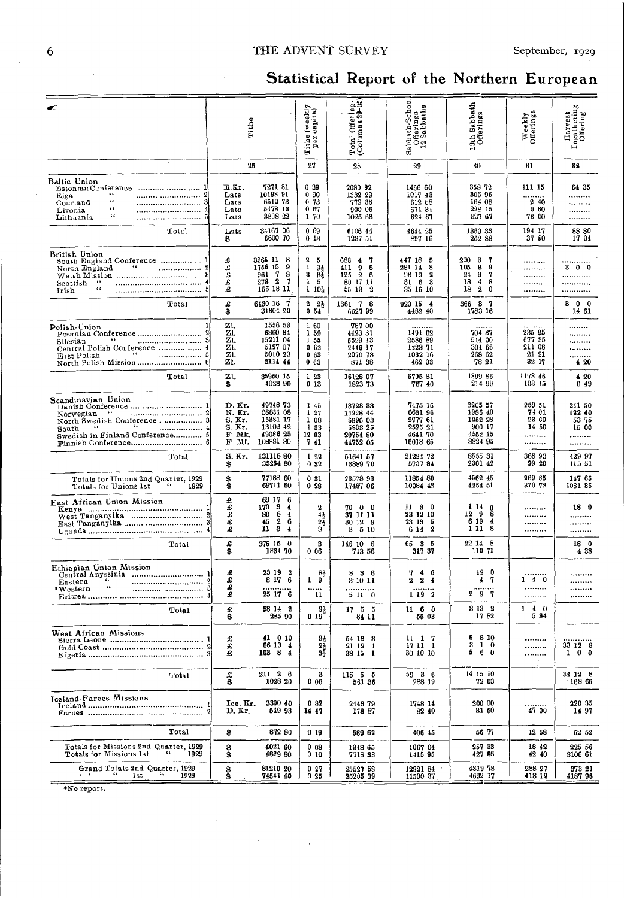#### THE ADVENT SURVEY

# Statistical Report of the Northern European

|                                                                                                                                                     |                                                          | Tithe                                                                                                                      | Tithe (weekly<br>per capita)                                   | Total Offering.<br>(Columns 29-85)                                                    | Sahbath-School<br>Offerings<br>12 Sabbaths                                     | 13th Sabbath<br>Offerings                                                                 | Weekly<br>Offerings                          | bo<br>Harvest<br>Ingathering<br>Offering |
|-----------------------------------------------------------------------------------------------------------------------------------------------------|----------------------------------------------------------|----------------------------------------------------------------------------------------------------------------------------|----------------------------------------------------------------|---------------------------------------------------------------------------------------|--------------------------------------------------------------------------------|-------------------------------------------------------------------------------------------|----------------------------------------------|------------------------------------------|
|                                                                                                                                                     |                                                          | 26                                                                                                                         | 27                                                             | 26                                                                                    | 29                                                                             | 30                                                                                        | 31                                           | 32                                       |
| Baltic Union<br>Estonian Conference<br><br>Riga<br>s d<br><br>Courland<br>$\mathfrak{c}$ (<br><br>Livonia<br>$\epsilon$ $\epsilon$<br>Liihuania<br> | E.Kr.<br>Lats<br>Lats<br>Lats<br>Lats                    | 7271 81<br>10198 91<br>651273<br>5478 13<br>3808 22                                                                        | 0.39<br>090<br>073<br>067<br>1 70                              | 2080 92<br>1332 29<br>779 36<br>900 06<br>1025 63                                     | 1466 60<br>1017 43<br>612E8<br>671 31<br>621 67                                | 358 72<br>305 96<br>164 08<br>228 15<br>327 67                                            | 111 15<br>240<br>060<br>73 00                | 64 35<br><br><br>.<br>                   |
| Total                                                                                                                                               | Lats<br>\$                                               | 34167 06<br>6600 70                                                                                                        | 069<br>0.13                                                    | 6406 44<br>1237 51                                                                    | 4644 25<br>897 16                                                              | 1360 33<br>262 88                                                                         | 194 17<br>37 50                              | 88 80<br>17 04                           |
| British Union<br>South England Conference  1<br>North England<br>Scottish<br>- 66<br>$\epsilon$<br>Irish<br>                                        | £<br>£<br>Ś<br>£<br>£                                    | 3265 11<br>8<br>1756 15<br>9<br>964<br>-7<br>8<br>278 2<br>7<br>165 18 11                                                  | 2<br>5<br>1<br>95<br>s<br>64<br>1<br>5<br>1<br>10 <sub>5</sub> | 7<br>688<br>$\overline{4}$<br>411<br>9<br>6<br>$125 \t2$<br>-6<br>80 17 11<br>55 13 2 | 447 18<br>5<br>281 14<br>8<br>93 19<br>2<br>616<br>3<br>35 16 10               | 200<br>3<br>7<br>105<br>3<br>9<br>24<br>7<br>9<br>18<br>4<br>8<br>$\mathbf{2}$<br>18<br>0 | <br><br><br><br>                             | 300<br><br><br>.                         |
| Total                                                                                                                                               | £<br>8                                                   | 6130 16<br>- 7<br>31304 20                                                                                                 | $2\frac{1}{2}$<br>051                                          | 1361 7 8<br>6627 99                                                                   | 920154<br>4482 40                                                              | 366 3 7<br>1783 16                                                                        |                                              | $0\quad 0$<br>3<br>14 61                 |
| Polish-Union<br>Posanian Conference<br>$-6.6$<br>Silesian<br>Central Polish Conference   4                                                          | zı.<br>zı.<br>zı.<br>ZI.<br>ZI.<br>ZI.                   | 1556 53<br>6860 84<br>15211 04<br>5197 07<br>5010 23<br>2114 44                                                            | 160<br>150<br>155<br>062<br>063<br>063                         | 787 00<br>442331<br>5529 43<br>2446 17<br>2070 78<br>871 38                           | 1491 02<br>2586 89<br>1223 71<br>1032 16<br>462 03                             | 70437<br>544 00<br>304 66<br>268 62<br>78 21                                              | 235 95<br>677 35<br>211 08<br>21 91<br>32 17 | <br>420                                  |
| Total                                                                                                                                               | zı.<br>\$                                                | 35950 15<br>4028 90                                                                                                        | 1 23<br>013                                                    | 16128 07<br>1823 73                                                                   | 6795 81<br>767 40                                                              | 1899 86<br>214 99                                                                         | 1178 46<br>133 15                            | 4 20<br>049                              |
| Scandinavian Union<br>$-66$<br>Norwegian<br>North Swedish Conference 3<br>$-6.6$<br>. 4<br>South<br>Swedish in Finland Conference 5                 | D. Kr.<br>N. Kr.<br>S. Kr.<br>S.Kr.<br>F Mk.<br>F<br>Ml. | 49748 73<br>38831 08<br>15381 17<br>1310242<br>49086 25<br>108881 80                                                       | 145<br>127<br>1 08<br>133<br>12 03<br>741                      | 18723 33<br>14228 44<br>6996 03<br>5833 25<br>20754 80<br>44752 05                    | 7475 16<br>663196<br>2777 61<br>2525 21<br>4641 70<br>16018 65                 | 3205 57<br>1986 40<br>1252 28<br>900 17<br>4552 15<br>8824 95                             | 259 51<br>74 01<br>23 00<br>14 50<br>.<br>   | 241 50<br>122 40<br>53 75<br>15 00<br>   |
| Total                                                                                                                                               | S. Kr.<br>\$                                             | 131118 80<br>35254 80                                                                                                      | 122<br>0 <sub>32</sub>                                         | 51641 57<br>13889 70                                                                  | 21224 72<br>5707 84                                                            | 8555 31<br>2301 42                                                                        | 368 93<br>99 20                              | 429 97<br>115 51                         |
| Totals for Unions 2nd Quarter, 1929<br>1929<br>Totals for Unions 1st                                                                                | \$                                                       | 77188 60<br>69711 60                                                                                                       | 031<br>028                                                     | 23578 93<br>17487 06                                                                  | 11854 80<br>10084 42                                                           | 4562 45<br>4264 51                                                                        | 269 85<br>370 72                             | 147 65<br>1081 35                        |
| East African Union Mission<br>West Tanganyika  2                                                                                                    | £<br>£<br>£<br>£                                         | 69 17<br>6<br>17034<br>-8<br>80<br>$\overline{\mathbf{4}}$<br>$\mathbf{2}$<br>6<br>45<br>- 3<br>11<br>$\blacktriangleleft$ | 2<br>41<br>21<br>8                                             | 70 0 0<br>37 11 11<br>30 12 9<br>8 5 10                                               | $11 \t3 \t0$<br>23 12 10<br>23 13 5<br>6 14 2                                  | 1 14<br>0<br>12 <sub>9</sub><br>8<br>6 19<br>$\overline{\mathbf{4}}$<br>111<br>-8         | <br><br>                                     | 18 0<br><br><br>                         |
| Total                                                                                                                                               | £<br>\$                                                  | 376 15 0<br>1831 70                                                                                                        | 3<br>006                                                       | 146 10 6<br>713 56                                                                    | 6535<br>317 37                                                                 | 22 14 8<br>110 71                                                                         |                                              | 18 0<br>4 3 8                            |
| Ethiopian Union Mission<br>Central Abyssinia  1<br>$\epsilon$<br>Eastern<br>$\mathbf{G}$<br>8<br>*Western                                           | £<br>£<br>£<br>£                                         | 23 19 2<br>8 17 6<br>25 17 6                                                                                               | 81<br>$1\quad 9$<br><br>11                                     | 836<br>3 10 11<br>.<br>5 11 0                                                         | 7<br>$\blacktriangleleft$<br>-6<br>$\overline{\mathbf{2}}$<br>2<br>4<br>1 19 2 | 190<br>4<br>-7<br>297                                                                     | <br>140<br><br>                              | .<br>.<br><br>                           |
| Total                                                                                                                                               | $\frac{1}{3}$                                            | 58 14 2<br>235 90                                                                                                          | $9\frac{1}{2}$<br>019                                          | 17, 5, 5<br>84 11                                                                     | 1160<br>55 03                                                                  | 3 13 2<br>1782                                                                            | $1 \t4 \t0$<br>5 84                          |                                          |
| West African Missions                                                                                                                               | £<br>£<br>£                                              | 41 0 10<br>66 13 4<br>$103 \t8 \t4$                                                                                        | $\frac{31}{22}$<br>$3\bar{\tilde{}}$                           | 54 18 3<br>21121<br>38 15 1                                                           | $11 \quad 1 \quad 7$<br>17 11 1<br>30 10 10                                    | 6<br>8 10<br>$3\quad1\quad0$<br>60<br>5.                                                  | <br><br><br>$\sim$                           | .<br>33 12 8<br>$1 \t0 \t0$              |
| Total                                                                                                                                               | $\frac{1}{3}$                                            | 211 2 6<br>1028 20                                                                                                         | 3<br>006                                                       | 115 5 5<br>561 36                                                                     | 59 3 6<br>288 19                                                               | 14 15 10<br>72 03                                                                         |                                              | 34126<br>$-16866$                        |
| Iceland-Faroes Missions                                                                                                                             | Ice. Kr.<br>D. Kr.                                       | 3300 40<br>51993                                                                                                           | 082<br>14 47                                                   | 2443 79<br>178 87                                                                     | 1748 14<br>82 40                                                               | 200 00<br>31 50                                                                           | 47 00                                        | 220 35<br>14 97                          |
| Total                                                                                                                                               | \$                                                       | 872 80                                                                                                                     | 0 19                                                           | 589 62                                                                                | 406 45                                                                         | 56 77                                                                                     | 12 58                                        | 52 52                                    |
| Totals for Missions 2nd Quarter, 1929<br>Totals f <b>or</b> Missions 1st<br>1929                                                                    | \$                                                       | 4021 60<br>4829 80                                                                                                         | 008<br>010                                                     | 1948 65<br>7718 33                                                                    | 1067 04<br>1415 95                                                             | 257 33<br>427 66                                                                          | 18 42<br>42 40                               | 225 56<br>3106 61                        |
| Grand Totals 2nd Quarter, 1929<br>66<br>τ.<br>$\epsilon$<br>1929<br>Ist                                                                             | \$<br>Ŝ                                                  | 81210 20<br>74541 40                                                                                                       | 027<br>025                                                     | 25527 58<br>25205 39                                                                  | 12921 84<br>11500 37                                                           | 4819 78<br>4692 17                                                                        | 288 27<br>413 12                             | 373 21<br>4187 96                        |

\*No report.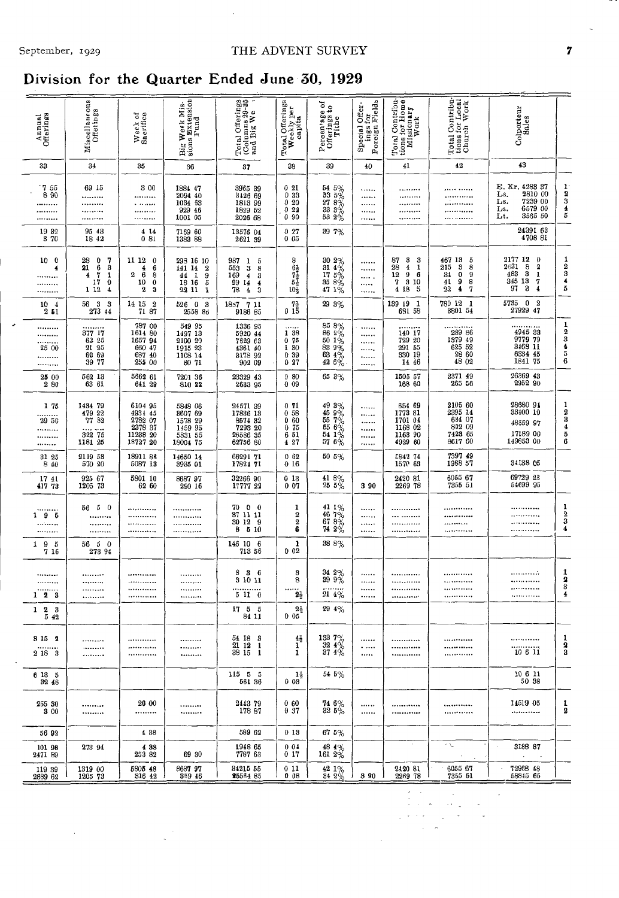#### THE ADVENT SURVEY

### Division for the Quarter Ended June 30, 1929

 $\frac{1}{2}$ 

 $\bar{\beta}$ 

| Annual<br>Offerings                                             | Miscellaneous<br>Offerings                                                                                                    | Week of<br>Sacrifice                                                                                                      | Big Week Mis-                                                                                            | Total Offerings<br>(Columns 29-85<br>and Big We                                                                            | Total Offerings<br>Weekly per<br>capita                                        | ১<br>Percentage of<br>Offerings to<br>Tithe                                                                         | ings for<br>Foreign Fields<br>Special Offer- | Total Contribu-<br>tions for Home<br>Missionary<br>Work                                          | Total Contribu-<br>tions for Local<br>Church Work                            | Colporteur<br>Sales                                                                                                                          |                                           |
|-----------------------------------------------------------------|-------------------------------------------------------------------------------------------------------------------------------|---------------------------------------------------------------------------------------------------------------------------|----------------------------------------------------------------------------------------------------------|----------------------------------------------------------------------------------------------------------------------------|--------------------------------------------------------------------------------|---------------------------------------------------------------------------------------------------------------------|----------------------------------------------|--------------------------------------------------------------------------------------------------|------------------------------------------------------------------------------|----------------------------------------------------------------------------------------------------------------------------------------------|-------------------------------------------|
| 33                                                              | 34                                                                                                                            | 35                                                                                                                        | 36                                                                                                       | 37                                                                                                                         | 38                                                                             | 39                                                                                                                  | 40                                           | 41                                                                                               | 42                                                                           | 43                                                                                                                                           |                                           |
| 755<br>8 90<br><br><br>                                         | 69 15<br><br><br><br>                                                                                                         | 3 00<br><br>.<br><br>                                                                                                     | 1884 47<br>2094 40<br>1034 63<br>929 46<br>1001 05                                                       | 3965 39<br>3126 69<br>1813 99<br>1829 52<br>2026 68                                                                        | 021<br>033<br>020<br>022<br>090                                                | $\begin{array}{r} 54 \ 5 \% \\ 33 \ 5 \% \\ 27 \ 8 \% \\ 33 \ 3 \% \\ 53 \ 2 \% \end{array}$                        | .<br><br>.<br><br>                           | <br><br><br><br>                                                                                 | <br><br><br><br>.                                                            | E. Kr. 4283 37<br>2810 00<br>Ls.<br>7239 00<br>Ls.<br>6579 00<br>Ls.<br>3565 50<br>Lt.                                                       | $\frac{1}{2}$ 8345                        |
| 19 32<br>3 70                                                   | 95 43<br>1842                                                                                                                 | 4 14<br>081                                                                                                               | 7159 60<br>1383 88                                                                                       | 13576 04<br>2621 39                                                                                                        | 0.27<br>005                                                                    | 39 7%                                                                                                               |                                              |                                                                                                  |                                                                              | 24391 63<br>4708 81                                                                                                                          |                                           |
| 10 <sub>0</sub><br>4<br><br><br>                                | 28<br>0<br>7<br>$\bf{21}$<br>3<br>6<br>$\frac{7}{17}$<br>1<br>$\overline{\mathbf{4}}$<br>$\boldsymbol{0}$<br>1 12<br>$\bf{4}$ | 11 12<br>$\boldsymbol{0}$<br>$\boldsymbol{4}$<br>$\frac{6}{8}$<br>$\overline{2}$<br>6<br>$\pmb{0}$<br>10<br>$\bf{2}$<br>3 | 293 16 10<br>141 14<br>$\boldsymbol{2}$<br>$\mathbf{I}$<br>$\frac{9}{5}$<br>44<br>18 16<br>i<br>22<br>11 | 987<br>5<br>1<br>553<br>$\bf{3}$<br>8<br>169<br>4<br>3<br>99<br>14<br>$\overline{\mathbf{4}}$<br>78<br>$\overline{4}$<br>3 | 8<br>$67/5$<br>$50/5$                                                          | $\begin{array}{l} 30 \ \ 2 \% \\ 31 \ \ 4 \% \\ 17 \ \ 5 \% \\ 35 \ \ 8 \% \\ 47 \ \ 1 \% \end{array}$              | <br><br><br><br>                             | 87<br>3<br>-3<br>28<br>$\overline{\mathbf{4}}$<br>1<br>9<br>6<br>12<br>7<br>3 10<br>4 18<br>5    | 467 13<br>5<br>215<br>3<br>8<br>34<br>0<br>9<br>41<br>9<br>8<br>22<br>4<br>7 | 2177 12<br>$\frac{0}{2}$<br>2n31<br>$\begin{array}{r} 2631 \ 483 \ 483 \ 345 \ 13 \ 97 \ 3 \end{array}$<br>1<br>7<br>$\overline{\mathbf{4}}$ | $\frac{1}{2}$ $\frac{3}{4}$ $\frac{4}{5}$ |
| $10 +$<br>251                                                   | 56<br>3<br>-3<br>273 44                                                                                                       | 14 15<br>$\boldsymbol{2}$<br>71 87                                                                                        | 526 0 3<br>2558 86                                                                                       | 1887 7 11<br>9186 85                                                                                                       | $_0$ $^{71}_{15}$                                                              | 29 3%                                                                                                               |                                              | 139 19 1<br>691 58                                                                               | 780 12<br>-1<br>3801 54                                                      | 5735<br>$\overline{\mathbf{0}}$<br>$\boldsymbol{2}$<br>27929 47                                                                              |                                           |
| <br><br><br>25 00<br><br>                                       | 377 17<br>63 25<br>21 25<br>60 69<br>39 77                                                                                    | 787 00<br>1614 80<br>1657 94<br>660 47<br>687 40<br>255 00                                                                | 549 95<br>1497 13<br>2100 20<br>1915 23<br>1108 14<br>30 71                                              | 1336 95<br>5920 44<br>7629 63<br>4361 40<br>3178 92<br>902 09                                                              | .<br>1 38<br>0.75<br>1 30<br>0 39<br>027                                       | $\begin{array}{r} 85\ 86 \\ 86\ 2\% \\ 50\ 1\% \\ 83\ 9\% \\ 63\ 4\% \\ 42\ 6\% \end{array}$                        | <br><br><br><br><br>$\cdots$                 | 140 17<br>729 20<br>291 55<br>330 19<br>14 46                                                    | 289 86<br>1379 49<br>625 52<br>28 60<br>48 02                                | 4945 33<br>9779 79<br>3468 11<br>6334 45<br>1841 75                                                                                          | 123456                                    |
| 25 00<br>280                                                    | 562 13<br>63 61                                                                                                               | 5662 61<br>641 29                                                                                                         | 7201 36<br>810 22                                                                                        | 23329 43<br>2633 95                                                                                                        | 0.80<br>009                                                                    | 65.3%                                                                                                               |                                              | 1505 57<br>168 60                                                                                | 2371 49<br>265 56                                                            | 26369 43<br>2952 90                                                                                                                          |                                           |
| 175<br><br>29 50<br><br><br>                                    | 1434 79<br>$\begin{array}{r} \textbf{479} \ \textbf{22} \\ \textbf{77} \ \textbf{82} \end{array}$<br>322 75<br>1181 25        | 6104 95<br>4934 45<br>$\begin{array}{r} 2782 \ \ 07 \\ 2378 \ \ 37 \\ 11238 \ \ 20 \\ 18727 \ \ 20 \end{array}$           | 5848 06<br>8607 69<br>1578 29<br>1459 95<br>5831 55<br>18004 75                                          | 24571 39<br>17836 13<br>8574 32<br>7293 20<br>26586 35<br>62756 80                                                         | 0 71<br>$\begin{smallmatrix}0&58\0&60\end{smallmatrix}$<br>075<br>6 51<br>4 27 | $\begin{array}{l} 49\ 3\% \\ 45\ 9\% \\ 55\ 7\% \\ 56\ 6\% \\ 54\ 1\% \\ 57\ 6\% \end{array}$                       | <br><br><br><br><br>                         | $\begin{array}{c} 654 & 69 \\ 1773 & 81 \end{array}$<br>1701 04<br>1168 02<br>1163 90<br>4929 60 | 2105 60<br>2395 14<br>634 07<br>802 09<br>7428 65<br>8617 60                 | 28680 91<br>33100 10<br>48559 97<br>17189 00<br>149853 00                                                                                    | 123456                                    |
| 31 25<br>8 4 0                                                  | 2119 53<br>570 20                                                                                                             | 18911 86<br>5087 13                                                                                                       | 14650 14<br>3935 01                                                                                      | 66291 71<br>17821 71                                                                                                       | 062<br>016                                                                     | 50 5%                                                                                                               |                                              | 5842 74<br>1570 63                                                                               | 7397 49<br>1988 57                                                           | 34138 05                                                                                                                                     |                                           |
| 17 41<br>417 73                                                 | 925 67<br>1205 73                                                                                                             | 5801 10<br>62 60                                                                                                          | 8687 97<br>290 16                                                                                        | 32266 90<br>17777 22                                                                                                       | 013<br>007                                                                     | $\frac{41}{25}\frac{8\%}{5\%}$                                                                                      | 3 9 0                                        | 2420 81<br>2269 78                                                                               | 6055 67<br>7355 51                                                           | 69729 23<br>54699 95                                                                                                                         |                                           |
| <br>195<br><br>                                                 | 56 5 0<br><br><br>                                                                                                            | <br><br><br>                                                                                                              | <br><br><br>                                                                                             | 70000<br>37 11 11<br>30 12 9<br>5 10<br>8                                                                                  | 1<br>$\boldsymbol{2}$<br>$\boldsymbol{2}$<br>6                                 | $\begin{array}{c} 41 \ 1 \ \text{\%} \\ 46 \ 7 \ \text{\%} \\ 67 \ 8 \ \text{\%} \\ 74 \ 2 \ \text{\%} \end{array}$ | <br><br><br>                                 | <br><br><br>                                                                                     | <br><br>                                                                     | <br><br><br>                                                                                                                                 | $\frac{1}{2}$<br>$\overline{\mathbf{4}}$  |
| 19<br>- 5<br>7 16                                               | 56 5 0<br>273 94                                                                                                              |                                                                                                                           |                                                                                                          | 146 10 6<br>713 56                                                                                                         | 1<br>002                                                                       | 38 8%                                                                                                               |                                              |                                                                                                  |                                                                              |                                                                                                                                              |                                           |
| *********<br>*********<br>.<br>123                              | <br>*********<br><br>                                                                                                         | <br><br><br>                                                                                                              | <br><br><br>                                                                                             | 836<br>3 10 11<br><br>5110                                                                                                 | 3<br>8<br>$2\frac{1}{2}$<br>$2\frac{1}{2}$                                     | 34 2%<br>39 9%<br>214%<br>29 4%                                                                                     | <br><br><br>                                 | <br><br>.<br>                                                                                    | <br><br>                                                                     | <br><br><br>                                                                                                                                 | 1<br>$\frac{2}{3}$                        |
| $\begin{smallmatrix}2&3\\5&42\end{smallmatrix}$<br>$\mathbf{1}$ |                                                                                                                               |                                                                                                                           |                                                                                                          | $\begin{array}{cc} 17 & 5 & 5 \\ 84 & 11 \end{array}$                                                                      | 0 <sub>05</sub>                                                                |                                                                                                                     |                                              |                                                                                                  |                                                                              |                                                                                                                                              |                                           |
| 3152<br><br>2 18 3                                              | <br><br>                                                                                                                      | <br><br>                                                                                                                  | <br><br>                                                                                                 | 54 18 3<br>21121<br>38151                                                                                                  | $^{41}_{1}$<br>$\mathbf{1}$                                                    | $\begin{array}{c} 133 \\ 32 \\ 4 \\ 87 \\ \end{array} \begin{array}{c} 4 \\ 4 \\ 4 \\ \end{array}$                  | <br>$\ddotsc$<br>.                           | <br><br>                                                                                         | <br><br>                                                                     | .<br>10611                                                                                                                                   | 1<br>2<br>3                               |
| 6135<br>32 48                                                   |                                                                                                                               |                                                                                                                           |                                                                                                          | 11555<br>561 36                                                                                                            | 1,<br>0.03                                                                     | 54 5%                                                                                                               |                                              |                                                                                                  |                                                                              | 10 6 11<br>50 38                                                                                                                             |                                           |
| 255 30<br>3 00                                                  | <br>                                                                                                                          | 20 00<br>                                                                                                                 | <br>*********                                                                                            | 2443 79<br>178 87                                                                                                          | 060<br>0 37                                                                    | 74 6%<br>325%                                                                                                       | <br>                                         | <br>.                                                                                            | <br>                                                                         | 14519 05<br>                                                                                                                                 | 1<br>2                                    |
| 56 92                                                           |                                                                                                                               | 4 3 8                                                                                                                     |                                                                                                          | 589 62                                                                                                                     | 013                                                                            | $67.5\%$                                                                                                            |                                              |                                                                                                  |                                                                              |                                                                                                                                              |                                           |
| 101 98<br>2471 89                                               | 273 94                                                                                                                        | 4 8 8<br>253 82                                                                                                           | 69 30                                                                                                    | 1948 65<br>7787 63                                                                                                         | 001<br>0 17                                                                    | $\begin{array}{c} 48 & 4\% \\ 161 & 2\% \end{array}$                                                                |                                              |                                                                                                  | ΛV.                                                                          | 3188 87                                                                                                                                      |                                           |
| 119 39<br>2889 62                                               | 1319 00<br>1205 73                                                                                                            | 5805 48<br>316 42                                                                                                         | 8687 97<br>359 46                                                                                        | 34215 55<br><b>25564 85</b>                                                                                                | 011<br>008                                                                     | $\frac{42}{34}$ $\frac{1}{2}$ %                                                                                     | 3 90                                         | 2420 81<br>2269 78                                                                               | 6055 67<br>7355 51                                                           | 72968 48<br>58845 65                                                                                                                         |                                           |

 $\mathcal{L}_{\text{max}}$ 

 $\langle \cdot, \cdot \rangle_{\varphi}$ 

 $\frac{1}{\lambda} \left( \frac{1}{\lambda} \right) = \frac{1}{\lambda} \left( \frac{1}{\lambda} \right)$ 

 $\cdot$ 

 $\overline{\phantom{a}}$ 

 $\overline{7}$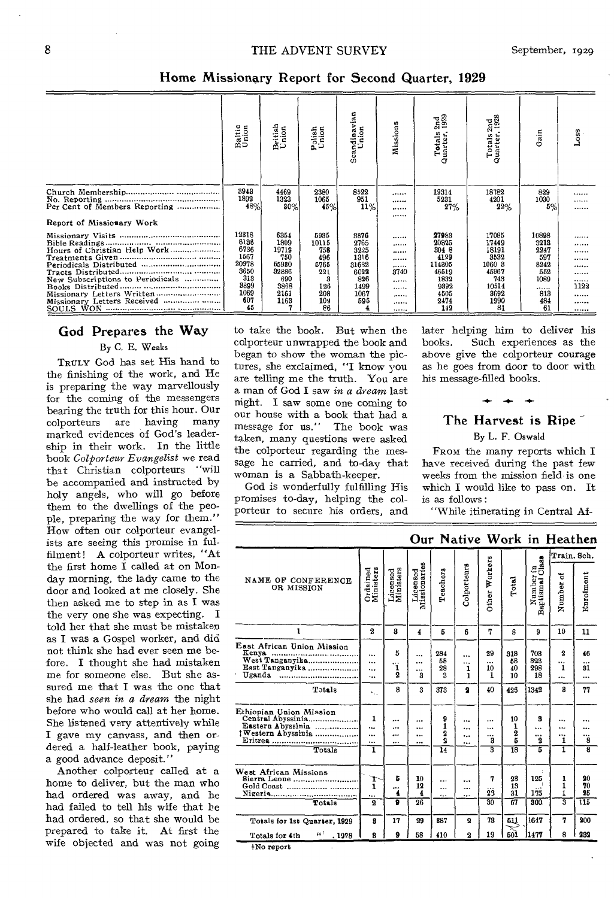**Home Missionary Report for Second Quarter, 1929** 

|                                                                 | Baltic<br>Union                                                                    | British<br>Union                                                                   | Polish<br>Union                                                       | Scandinavian<br>Union                                                       | Missions                                     | 2nd<br>1929<br>Totals<br>Quarter,                                                         | Totals 2nd<br>Quarter, 1928                                                              | Gain                                                                        | $_{Loss}$                                    |
|-----------------------------------------------------------------|------------------------------------------------------------------------------------|------------------------------------------------------------------------------------|-----------------------------------------------------------------------|-----------------------------------------------------------------------------|----------------------------------------------|-------------------------------------------------------------------------------------------|------------------------------------------------------------------------------------------|-----------------------------------------------------------------------------|----------------------------------------------|
|                                                                 | 3943<br>1892<br>48%                                                                | 4469<br>1323<br>80%                                                                | 2380<br>1065<br>45%                                                   | 8522<br>951<br>11%                                                          | <br><br>                                     | 19314<br>5231<br>27%                                                                      | 18782<br>4201<br>22%                                                                     | 829<br>1030<br>5%                                                           | <br><br>                                     |
| Report of Missionary Work                                       |                                                                                    |                                                                                    |                                                                       |                                                                             |                                              |                                                                                           |                                                                                          |                                                                             |                                              |
| New Subscriptions to Periodicals<br>Missionary Letters Received | 12318<br>6186<br>6736<br>1567<br>20978<br>3650<br>818<br>3899<br>1069<br>607<br>45 | 6354<br>1809<br>19719<br>750<br>65930<br>32886<br>690<br>3868<br>2161<br>1163<br>n | 5935<br>10115<br>758<br>496<br>5765<br>221<br>126<br>208<br>109<br>86 | 3376<br>2765<br>8225<br>1316<br>31632<br>6022<br>826<br>1499<br>1067<br>595 | <br><br><br><br><br>8740<br><br><br><br><br> | 27983<br>20825<br>304 8<br>4129<br>114305<br>46519<br>1832<br>9392<br>4505<br>2474<br>142 | 17085<br>17449<br>18191<br>8532<br>1060 3<br>45967<br>743<br>10514<br>3692<br>1990<br>81 | 10898<br>3213<br>2247<br>597<br>8242<br>552<br>1089<br><br>813<br>484<br>61 | <br><br><br><br><br><br><br>1122<br><br><br> |

# **God Prepares the Way**

#### By C. E. Weaks

TRULY God has set His hand to the finishing of the work, and He is preparing the way marvellously for the coming of the messengers bearing the truth for this hour. Our colporteurs are having many marked evidences of God's leadership in their work. In the little book *Colporteur Evangelist* we read that Christian colporteurs "will be accompanied and instructed by holy angels, who will go before them to the dwellings of the people, preparing the way for them." How often our colporteur evangelists are seeing this promise in fulfilment! A colporteur writes, "At the first home I called at on Monday morning, the lady came to the door and looked at me closely. She then asked me to step in as I was the very one she was expecting. I told her that she must be mistaken as I was a Gospel worker, and did not think she had ever seen me before. I thought she had mistaken me for someone else. But she assured me that I was the one that she had *seen in a dream* the night before who would call at her home. She listened very attentively while I gave my canvass, and then ordered a half-leather book, paying a good advance deposit."

Another colporteur called at a home to deliver, but the man who had ordered was away, and he had failed to tell his wife that he had ordered, so that she would be prepared to take it. At first the wife objected and was not going

to take the book. But when the colporteur unwrapped the book and began to show the woman the pictures, she exclaimed, "I know you are telling me the truth. You are a man of God I saw in *a dream* last night. I saw some one coming to our house with a book that had a<br>message for us." The book was message for us." taken, many questions were asked the colporteur regarding the message he carried, and to-day that woman is a Sabbath-keeper.

God is wonderfully fulfilling His promises to-day, helping the colporteur to secure his orders, and later helping him to deliver his Such experiences as the above give the colporteur courage as he goes from door to door with his message-filled books.

### $+ + +$ **The Harvest is Ripe**

#### By L. F. Oswald

FROM the many reports which I have received during the past few weeks from the mission field is one which I would like to pass on. It is as follows :

"While itinerating in Central Af-

|                                                                                                                                    |                                |                              |                            |                                                |                         |                                          |                                      |                                             |                                     | Our Native Work in Heathen |
|------------------------------------------------------------------------------------------------------------------------------------|--------------------------------|------------------------------|----------------------------|------------------------------------------------|-------------------------|------------------------------------------|--------------------------------------|---------------------------------------------|-------------------------------------|----------------------------|
|                                                                                                                                    |                                |                              |                            |                                                |                         |                                          |                                      |                                             | Train. Sch.                         |                            |
| NAME OF CONFERENCE<br>OR MISSION                                                                                                   | Ordained<br>Ministers          | Licensed<br>Ministers        | Licensed<br>Missionaries   | Teachers                                       | <b>Colporteurs</b>      | Other Workers                            | Total                                | Number in<br>ptismal Class<br>Baptismal     | đ<br>Number                         | Enrolment                  |
| 1                                                                                                                                  | 2                              | R                            | 4                          | 5                                              | 6.                      | 7                                        | 8                                    | 9                                           | 10                                  | 11                         |
| East African Union Mission<br>Kenya<br>West Tanganyika<br>East Tanganyika<br>Uganda<br>,,,,,,,,,,,,,,,,,,,,,,,,,,,,,,,,,<br>Totals | $\ddotsc$<br><br><br>$\ddotsc$ | 5<br>ï<br>$\mathbf{2}$<br>8  | <br>$\cdots$<br><br>3<br>å | 284<br>58<br>28<br>a                           | <br><br>1<br>1          | 29<br>$\ddotsc$<br>10<br>1<br>40         | 318<br>58<br>40<br>10<br>425         | 703<br>323<br>298<br>18<br>1342             | $\mathbf{2}$<br><br>1<br><br>8      | 46<br><br>31<br><br>77     |
|                                                                                                                                    | $\kappa_{\rm{in}}$             |                              |                            | 373                                            | 9                       |                                          |                                      |                                             |                                     |                            |
| Ethiopian Union Mission<br>Eastern Abyssinia<br>†Western Abyssinia<br>Totals                                                       | 1<br>$\ddotsc$<br><br><br>ī    | $\cdots$<br><br>$\cdots$<br> | <br><br><br>               | 9<br>1<br>2<br>$\mathbf{Q}$<br>$\overline{14}$ | <br><br><br>            | <br><br><br>3<br>$\overline{\mathbf{a}}$ | 10<br>1<br>2<br>5<br>$\overline{18}$ | 3<br>$\ddotsc$<br><br>$\boldsymbol{2}$<br>5 | $\ddotsc$<br>$\cdots$<br><br>1<br>ī | <br><br>8<br>ह             |
| West African Missions<br>Sierra Leone<br>Totals                                                                                    | r<br>1<br><br>2                | Б<br><br>4<br>ត              | 10<br>12<br>4<br>26        | <br><br>.,.                                    | <br><br>                | 7<br><br>23<br>80                        | 23<br>13<br>31<br>67                 | 125<br><br>175<br>300                       | 1<br>1<br>1<br>র                    | 20<br>70<br>25<br>īΤ       |
| Totals for 1st Quarter, 1929                                                                                                       | 8                              | 17                           | 29                         | 887                                            | $\mathbf 2$             | 73                                       | 511                                  | 1647                                        | 7                                   | 200                        |
| 66 F<br>, 1928<br>Totals for 4th<br>+No report                                                                                     | 3                              | 9                            | 58                         | 410                                            | $\overline{\mathbf{2}}$ | 19                                       | 501                                  | 11477                                       | 8                                   | 232                        |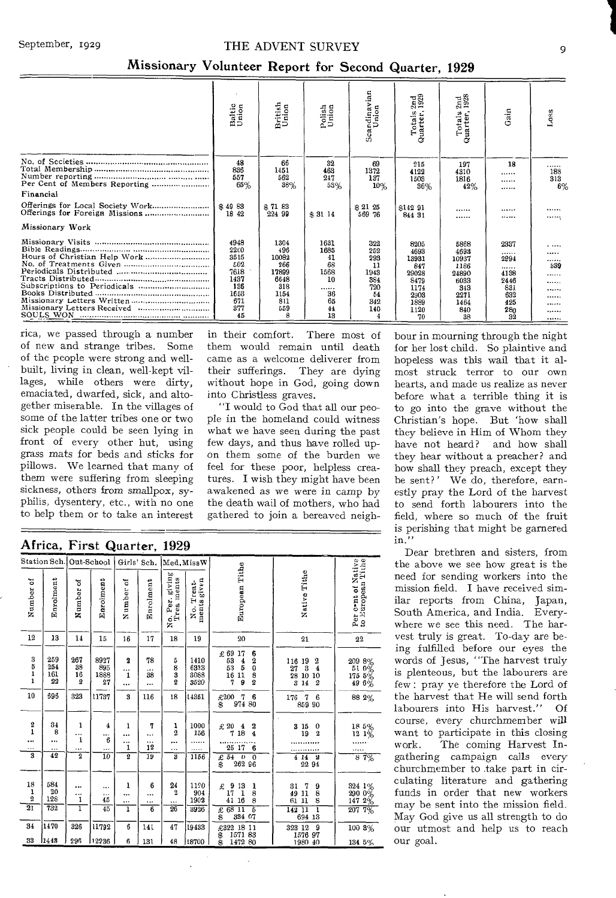#### September, 1929 THE ADVENT SURVEY

| Scandinavian<br>Union<br>2nd<br>1928<br>$\frac{2nd}{1929}$<br>British<br>Union<br>Baltic<br>Union<br>Polish<br>Union<br>Gain<br>Totals:<br>Quarter,<br>Totals:<br>Quarter,<br>48<br>66<br>32<br>69<br>18<br>215<br>197<br>836<br>1451<br>463<br>1372<br>4122<br>4310<br><br>557<br>562<br>247<br>137<br>1503<br>1816<br><br>65%<br>38%<br>53%<br>10%<br>36%<br>42%<br><br>Financial<br>\$49 83<br>\$7183<br>\$21 25<br>\$142 91<br><br><br>18 42<br>224 99<br>\$31 14<br>569 76<br>844 31<br><br><br>Missionary Work<br>4948<br>1304<br>1631<br>322<br>8205<br>5868<br>2337<br>2200<br>496<br>1685<br>252<br>4693<br>4693<br>.<br>3515<br>10082<br>41<br>298<br>13931<br>2994<br>10937<br>502<br>68<br>266<br>11<br>847<br>1186<br><br>7618<br>17899<br>1568<br>1943<br>29028<br>4138<br>24890<br>1437<br>6648<br>10<br>384<br>8479<br>6033<br>2446 |     |     |     |      |     |     |                                           |
|-----------------------------------------------------------------------------------------------------------------------------------------------------------------------------------------------------------------------------------------------------------------------------------------------------------------------------------------------------------------------------------------------------------------------------------------------------------------------------------------------------------------------------------------------------------------------------------------------------------------------------------------------------------------------------------------------------------------------------------------------------------------------------------------------------------------------------------------------------|-----|-----|-----|------|-----|-----|-------------------------------------------|
|                                                                                                                                                                                                                                                                                                                                                                                                                                                                                                                                                                                                                                                                                                                                                                                                                                                     |     |     |     |      |     |     | Loss                                      |
|                                                                                                                                                                                                                                                                                                                                                                                                                                                                                                                                                                                                                                                                                                                                                                                                                                                     |     |     |     |      |     |     | <br>188<br>313<br>6%                      |
|                                                                                                                                                                                                                                                                                                                                                                                                                                                                                                                                                                                                                                                                                                                                                                                                                                                     |     |     |     |      |     |     |                                           |
|                                                                                                                                                                                                                                                                                                                                                                                                                                                                                                                                                                                                                                                                                                                                                                                                                                                     |     |     |     |      |     |     | <br>                                      |
|                                                                                                                                                                                                                                                                                                                                                                                                                                                                                                                                                                                                                                                                                                                                                                                                                                                     |     |     |     |      |     |     |                                           |
| <br>1653<br>36<br>1154<br>54<br>632<br>2903<br>2271<br>671<br>811<br>65<br>342<br>1889<br>1464<br>425<br>377<br>559<br>44<br>140<br>1120<br>840<br>280<br>13<br>45<br>8<br>4<br>38<br>70<br>32                                                                                                                                                                                                                                                                                                                                                                                                                                                                                                                                                                                                                                                      | 136 | 318 | 720 | 1174 | 343 | 831 | .<br><br><br>339<br>.<br><br><br><br><br> |

#### Missionary Volunteer Report for Second Quarter, 1929

rica, we passed through a number of new and strange tribes. Some of the people were strong and wellbuilt, living in clean, well-kept villages, while others were dirty, emaciated, dwarfed, sick, and altogether miserable. In the villages of some of the latter tribes one or two sick people could be seen lying in front of every other hut, using grass mats for beds and sticks for pillows. We learned that many of them were suffering from sleeping sickness, others from smallpox, syphilis, dysentery, etc., with no one to help them or to take an interest

in their comfort. There most of them would remain until death came as a welcome deliverer from their sufferings. They are dying without hope in God, going down into Christless graves.

"I would to God that all our people in the homeland could witness what we have seen during the past few days, and thus have rolled upon them some of the burden we feel for these poor, helpless creatures. I wish they might have been awakened as we were in camp by the death wail of mothers, who had gathered to join a bereaved neighhour in mourning through the night for her lost child. So plaintive and hopeless was this wail that it almost struck terror to our own hearts, and made us realize as never before what a terrible thing it is to go into the grave without the Christian's hope. But 'how shall they believe in Him of Whom they have not heard? and how shall they hear without a preacher? and how shall they preach, except they be sent?' We do, therefore, earnestly pray the Lord of the harvest to send forth labourers into the field, where so much of the fruit is perishing that might be garnered in."

Dear brethren and sisters, from the above we see how great is the need for sending workers into the mission field. I have received similar reports from China, Japan, South America, and India. Everywhere we see this need. The harvest truly is great. To-day are being fulfilled before our eyes the words of Jesus, "The harvest truly is plenteous, but the labourers are few : pray ye therefore the Lord of the harvest that He will send forth labourers into His harvest." Of course, every churchmember will want to participate in this closing work. The coming Harvest Ingathering campaign calls every churchmember to take part in circulating literature and gathering funds in order that new workers may be sent into the mission field. May God give us all strength to do our utmost and help us to reach our goal.

| Africa, First Quarter, 1929 |  |  |  |  |  |
|-----------------------------|--|--|--|--|--|
|-----------------------------|--|--|--|--|--|

|                                                          | Station Sch.                              | Out-School                          |                                    | Girls' Sch.                                   |                                                           | Med.MissW                                           |                                       |                                                                                                                                                                                                                          |                                                                                                                                                                                     |                                                                                                    |
|----------------------------------------------------------|-------------------------------------------|-------------------------------------|------------------------------------|-----------------------------------------------|-----------------------------------------------------------|-----------------------------------------------------|---------------------------------------|--------------------------------------------------------------------------------------------------------------------------------------------------------------------------------------------------------------------------|-------------------------------------------------------------------------------------------------------------------------------------------------------------------------------------|----------------------------------------------------------------------------------------------------|
| Number of                                                | Enrolment                                 | Number of                           | Earolment                          | Number of                                     | Enrolment                                                 | No. Per. giving<br>Trea ments                       | No. Treat-<br>ments given             | European Tithe                                                                                                                                                                                                           | Native Tithe                                                                                                                                                                        | Per cont of Native<br>to European Tithe                                                            |
| 12                                                       | 13                                        | 14                                  | 15                                 | 16                                            | 17                                                        | 18                                                  | 19                                    | 20                                                                                                                                                                                                                       | 21                                                                                                                                                                                  | 2 <sup>2</sup>                                                                                     |
| $\frac{3}{5}$<br>1<br>$\mathbf{1}$<br>10                 | 259<br>254<br>161<br>22<br>696            | 267<br>38<br>16<br>$\pmb{2}$<br>323 | 8927<br>895<br>1888<br>27<br>11737 | $\boldsymbol{2}$<br><br>$\mathbf{1}$<br><br>3 | 78<br><br>38<br><br>116                                   | 5<br>$\frac{8}{3}$<br>$\overline{\mathbf{2}}$<br>18 | 1410<br>6333<br>3088<br>3520<br>14351 | $\begin{smallmatrix} \pounds & 69\ 53\ 53\ 53\ 53\ 16\ 7 \end{smallmatrix}$<br>17<br>6<br>20<br>3<br>$\frac{4}{5}$<br>11<br>$\boldsymbol{2}$<br>9<br>£200<br>$\begin{array}{cc} 0 & 7 & 6 \\ 974 & 80 \end{array}$<br>\$ | $\begin{array}{c} 116\ \ 19 \\ 27\ \ 3 \end{array}$<br>$\boldsymbol{2}$<br>$\overline{4}$<br>28 10 10<br>$\overline{\mathbf{3}}$<br>$\overline{2}$<br>14<br>176<br>6<br>7<br>859 90 | $\begin{array}{c} 209 \;\; 8\% \\ 51 \;\; 0\% \\ 175 \;\; 5\% \\ 49 \;\; 6\% \end{array}$<br>88 2% |
| $\frac{2}{1}$<br><br><br>$\overline{\mathbf{3}}$         | $\frac{34}{8}$<br><br><br>$\overline{42}$ | ı<br><br>ı<br><br>$\overline{2}$    | 4<br><br>6<br><br>$\overline{10}$  | 1<br><br>.<br>1<br>$\overline{2}$             | 7<br><br><br>12<br>19                                     | 1<br>$\mathbf 2$<br>$\cdots$<br>$\cdots$<br>B       | 1000<br>156<br>.<br>1156              | $\mathbf 2$<br>£ 20<br>$\begin{smallmatrix} 20 & 4 \ 7 & 18 \end{smallmatrix}$<br>$\overline{\mathbf{4}}$<br>25 17<br>6<br>$\overline{\phantom{a}}$<br>£54<br>ō<br>262 96<br>š                                           | 3 15<br>$\bf{0}$<br>19<br>$\overline{2}$<br>$\begin{array}{c}\n4 \text{ } 14 \text{ } 2 \\ 22 \text{ } 94\n\end{array}$                                                             | $\begin{array}{r} 18\;\; 5\% \\ 12\;\; 1\% \end{array}$<br>87%                                     |
| 18<br>$\mathbf 1$<br>$\boldsymbol{2}$<br>$\overline{21}$ | 584<br>20<br>128<br>$\overline{732}$      | <br><br>1<br>ī                      | <br><br>45<br>45                   | ı<br><br>1                                    | 6<br>$\cdots$<br>$\ddotsc$<br>$\overline{\boldsymbol{6}}$ | $\substack{24 \\ 2}$<br><br>$\overline{26}$         | 1120<br>904<br>1902<br>3926           | 9<br>$\begin{smallmatrix} 13 \\ 1 \end{smallmatrix}$<br>£<br>$\frac{1}{8}$<br>17<br>41 16<br>8<br>£ 68 11<br>5<br>Ŝ<br>334 07                                                                                            | 7<br>31<br>$\frac{9}{8}$<br>49 11<br>61 11<br>ī<br>14211<br>694 13                                                                                                                  | $\begin{array}{c} 324 \ \ 1\% \\ 290 \ \ 0\% \\ \hline 147 \ \ 2\% \end{array}$<br>$207.7\%$       |
| 34                                                       | 1470                                      | 326                                 | 11792                              | 6                                             | 141                                                       | 47                                                  | 19433                                 | £322 18 11                                                                                                                                                                                                               | 9<br>323 12                                                                                                                                                                         | $1003\%$                                                                                           |
| 33                                                       | 12443                                     | 296                                 | 12236                              | 6                                             | 131                                                       | 48                                                  | 18700                                 | $\begin{array}{c} 1571 \ 83 \\ 1472 \ 80 \end{array}$<br>\$                                                                                                                                                              | 1576 97<br>1980 40                                                                                                                                                                  | 134 5%                                                                                             |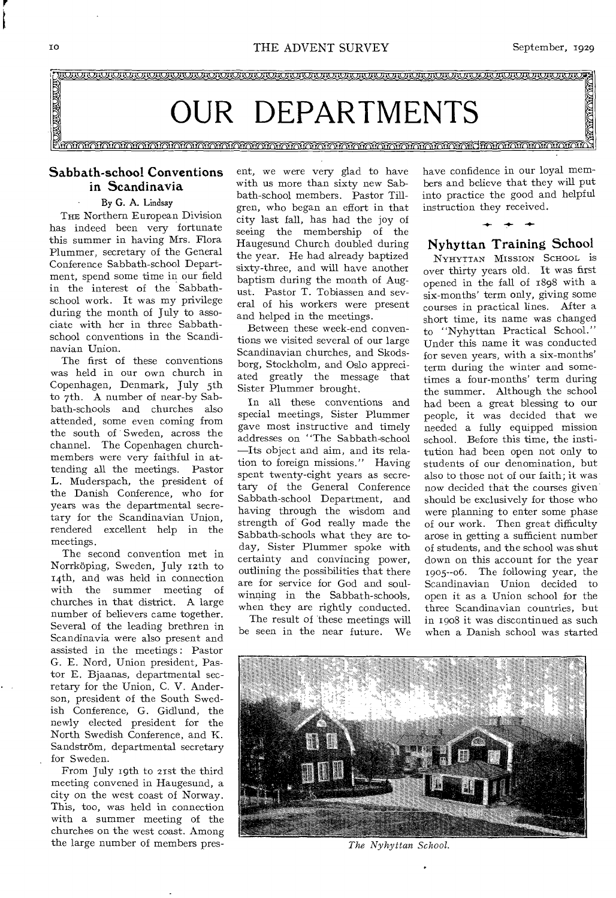

#### Sabbath-school Conventions in Scandinavia

#### By G. A. Lindsay

THE Northern European Division has indeed been very fortunate this summer in having Mrs. Flora Plummer, secretary of the General Conference Sabbath-school Department, spend some time in our field in the interest of the Sabbathschool work. It was my privilege during the month of July to associate with her in three Sabbathschool conventions in the Scandinavian Union.

The first of these conventions was held in our own church in Copenhagen, Denmark, July 5th to 7th. A number of near-by Sabbath-schools and churches also attended, some even coming from the south of Sweden, across the channel. The Copenhagen churchmembers were very faithful in attending all the meetings. Pastor L. Muderspach, the president of the Danish Conference, who for years was the departmental secretary for the Scandinavian Union, rendered excellent help in the meetings.

The second convention met in Norrkoping, Sweden, July 12th to i4th, and was held in connection with the summer meeting of churches in that district. A large number of believers came together. Several of the leading brethren in Scandinavia were also present and assisted in the meetings : Pastor G. E. Nord, Union president, Pastor E. Bjaanas, departmental secretary for the Union, C. V. Anderson, president of the South Swedish Conference, G. Gidlund, the newly elected president for the North Swedish Conference, and K. Sandström, departmental secretary for Sweden.

From July 19th to 21st the third meeting convened in Haugesund, a city on the west coast of Norway. This, too, was held in connection with a summer meeting of the churches on the west coast. Among the large number of members present, we were very glad to have with us more than sixty new Sabbath-school members. Pastor Tillgren, who began an effort in that city last fall, has had the joy of seeing the membership of the Haugesund Church doubled during the year. He had already baptized sixty-three, and will have another baptism during the month of August. Pastor T. Tobiassen and several of his workers were present and helped in the meetings.

Between these week-end conventions we visited several of our large Scandinavian churches, and Skodsborg, Stockholm, and Oslo appreciated greatly the message that Sister Plummer brought.

In all these conventions and special meetings, Sister Plummer gave most instructive and timely addresses on "The Sabbath-school —Its object and aim, and its relation to foreign missions." Having spent twenty-eight years as secretary of the General Conference Sabbath-school Department, and having through the wisdom and strength of' God really made the Sabbath-schools what they are today, Sister Plummer spoke with certainty and convincing power, outlining the possibilities that there are for service for God and soulwinning in the Sabbath-schools, when they are rightly conducted.

The result of these meetings will be seen in the near future. We have confidence in our loyal members and believe that they will put into practice the good and helpful instruction they received.

#### Nyhyttan Training School

**-1.- -4.-** 

NYHYTTAN MISSION SCHOOL iS over thirty years old. It was first opened in the fall of 1898 with a six-months' term only, giving some courses in practical lines. After a short time, its name was changed to "Nyhyttan Practical School." Under this name it was conducted for seven years, with a six-months' term during the winter and sometimes a four-months' term during the summer. Although the school had been a great blessing to our people, it was decided that we needed a fully equipped mission school. Before this time, the institution had been open not only to students of our denomination, but also to those not of our faith; it was now decided that the courses given should be exclusively for those who were planning to enter some phase of our work. Then great difficulty arose in getting a sufficient number of students, and the school was shut down on this account for the year 19o5--o6. The following year, the Scandinavian Union decided to open it as a Union school for the three Scandinavian countries, but in 1908 it was discontinued as such when a Danish school was started



*The Nyhyttan School.*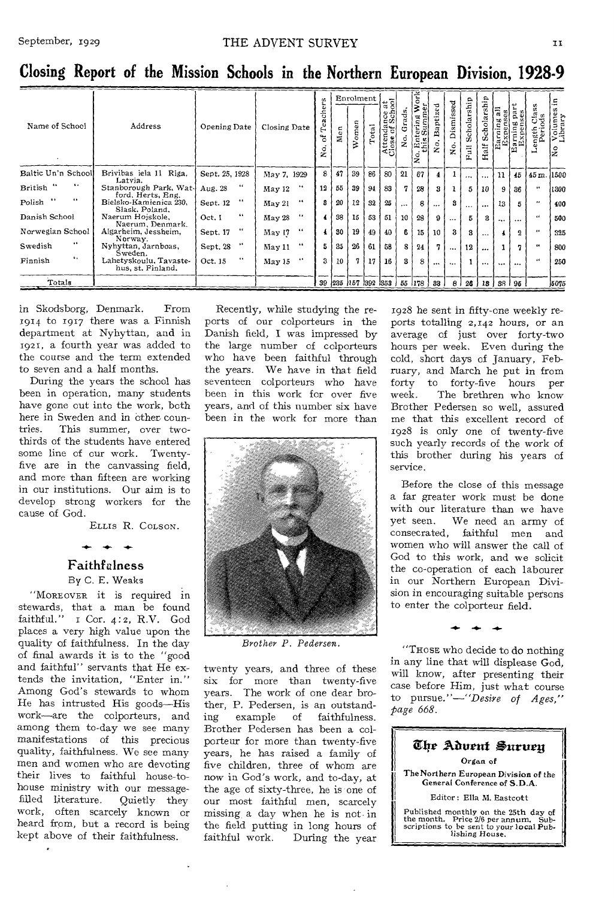| Name of School                         | Address                                                       | Opening Date          | Closing Date               | u.<br>ach<br>ته<br>A<br>ัธ<br>ž. | g<br>Σ | Enrolment<br>Women | Total | $\frac{1}{3}$<br>85<br>Attendance | ads.<br>å | ork<br>ummer<br>₹<br>U.<br>島<br>2. | 记<br>Bapti: | sed<br>ü<br>Dismi<br>.<br>Ž | Scholarship<br>$\bar{\vec{z}}$ | alf | 듧<br>뚊       | g g<br><b>Earning</b><br><b>Expense</b><br><b>Expense</b> | ength Class<br>Periods  | Ξ.<br>Volumes<br>Library<br>lş |
|----------------------------------------|---------------------------------------------------------------|-----------------------|----------------------------|----------------------------------|--------|--------------------|-------|-----------------------------------|-----------|------------------------------------|-------------|-----------------------------|--------------------------------|-----|--------------|-----------------------------------------------------------|-------------------------|--------------------------------|
| Baltic Un'n School                     | Brivibas iela 11 Riga,<br>Latvia.                             | Sept. 25, 1928        | May 7, 1929                | 8                                | 47     | 39                 | 86    | 80                                | 21        | 67                                 | 4           |                             | $\cdots$                       |     | 11           | 45 <sub>1</sub>                                           | 45m.                    | 1500                           |
| $\ddotsc$<br>British                   | Stanborough Park, Wat-                                        | $\cdots$<br>Aug. 28   | 6.6<br>May 12              | 12                               | 55     | 39                 | 94    | 83                                | 7         | 28                                 | 3           | $\mathbf{1}$                | 5                              | 10  | 9            | 36                                                        | $\overline{\mathbf{a}}$ | 1300                           |
| $\bullet\bullet$<br>$\cdots$<br>Polish | ford, Herts, Eng.<br>Bielsko-Kamienica 230,<br>Slask, Poland. | 4.4<br>Sept. 12       | $\bullet$<br>May 21        | я                                | 20     | 12                 | 32    | 25                                | $\cdots$  | 8                                  |             | я                           | $\cdots$                       |     | 13           | 5                                                         | $^{16}$                 | 400                            |
| Danish School                          | Naerum Hojskole,<br>Naerum, Denmark.                          | 6.6<br>Oct. I         | $\bullet\bullet$<br>May 28 |                                  | 38     | 15                 | 58    | 51                                | 10        | 28                                 | 9           | $\cdots$                    | 5                              |     |              | $\cdots$                                                  | 44                      | 500                            |
| Norwegian School                       | Algarheim, Jessheim,<br>Norway.                               | $\bullet$<br>Sept. 17 | 66<br>May 17               |                                  | 30     | 19                 | 49    | 40                                | 6         | <b>15 l</b>                        | 10          | 3                           | 3                              |     |              | $\mathbf{a}$                                              |                         | 325                            |
| 66<br>Swedish                          | Nyhyttan, Jarnboas,                                           | 64<br>Sept. 28        | 44<br>May 11               | 5                                | 35     | 26                 | 61    | 58                                | 8         | 24                                 | 7.          | $\cdots$                    | 12                             |     | 1.           | 7                                                         | 46                      | 800                            |
| ٠.<br>Finnish                          | Sweden.<br>Lahetyskoulu, Tavaste-<br>hus, st. Finland,        | $\bullet$<br>Oct. 15  | $\cdots$<br>May 15         | 3                                | 10     | 7.                 | 17    | 16                                | 3         | 8                                  | $\cdots$    |                             |                                |     | $\cdots$     | $\cdots$                                                  | $\epsilon$              | 250                            |
| Totals                                 |                                                               |                       |                            |                                  |        |                    |       |                                   |           | 39 235 157 392 353 55 178          | 33          | -8 I                        | 26                             |     | 13   38   96 |                                                           |                         | 5075                           |

Closing Report of the Mission Schools in the Northern European Division, 1928-9

in Skodsborg, Denmark. From 1914 to 1917 there was a Finnish department at Nyhyttan, and in 1921, a fourth year was added to the course and the term extended to seven and a half months.

During the years the school has been in operation, many students have gone out into the work, both here in Sweden and in other countries. This summer, over twothirds of the students have entered some line of our work. Twentyfive are in the canvassing field, and more than fifteen are working in our institutions. Our aim is to develop strong workers for the cause of God.

ELLIS R. COLSON.

#### Faithfulness

By C. E. Weaks

"MOREOVER it is required in stewards, that a man be found faithful." I Cor. 4:2, R.V. God places a very high value upon the quality of faithfulness. In the day of final awards it is to the "good and faithful" servants that He extends the invitation, "Enter in." Among God's stewards to whom He has intrusted His goods-His work-are the colporteurs, and among them to-day we see many manifestations of this precious quality, faithfulness. We see many men and women who are devoting their lives to faithful house-tohouse ministry with our messagefilled literature. Quietly they work, often scarcely known or heard from, but a record is being kept above of their faithfulness.

Recently, while studying the reports of our colporteurs in the Danish field, I was impressed by the large number of colporteurs who have been faithful through the years. We have in that field seventeen colporteurs who have been in this work for over five years, and of this number six have been in the work for more than



Brother P. Pedersen.

twenty years, and three of these six for more than twenty-five years. The work of one dear brother, P. Pedersen, is an outstanding  $example$ of faithfulness. Brother Pedersen has been a colporteur for more than twenty-five years, he has raised a family of five children, three of whom are now in God's work, and to-day, at the age of sixty-three, he is one of our most faithful men, scarcely missing a day when he is not in the field putting in long hours of faithful work. During the year 1928 he sent in fifty-one weekly reports totalling 2,142 hours, or an average of just over forty-two hours per week. Even during the cold, short days of January, February, and March he put in from forty to forty-five hours per  $_{\rm week.}$ The brethren who know Brother Pedersen so well, assured me that this excellent record of 1928 is only one of twenty-five such yearly records of the work of this brother during his years of service.

Before the close of this message a far greater work must be done with our literature than we have yet seen. We need an army of consecrated, faithful men and women who will answer the call of God to this work, and we solicit the co-operation of each labourer in our Northern European Division in encouraging suitable persons to enter the colporteur field.

"THOSE who decide to do nothing in any line that will displease God, will know, after presenting their case before Him, just what course to pursue." $-$ "Desire of Ages," page 668.